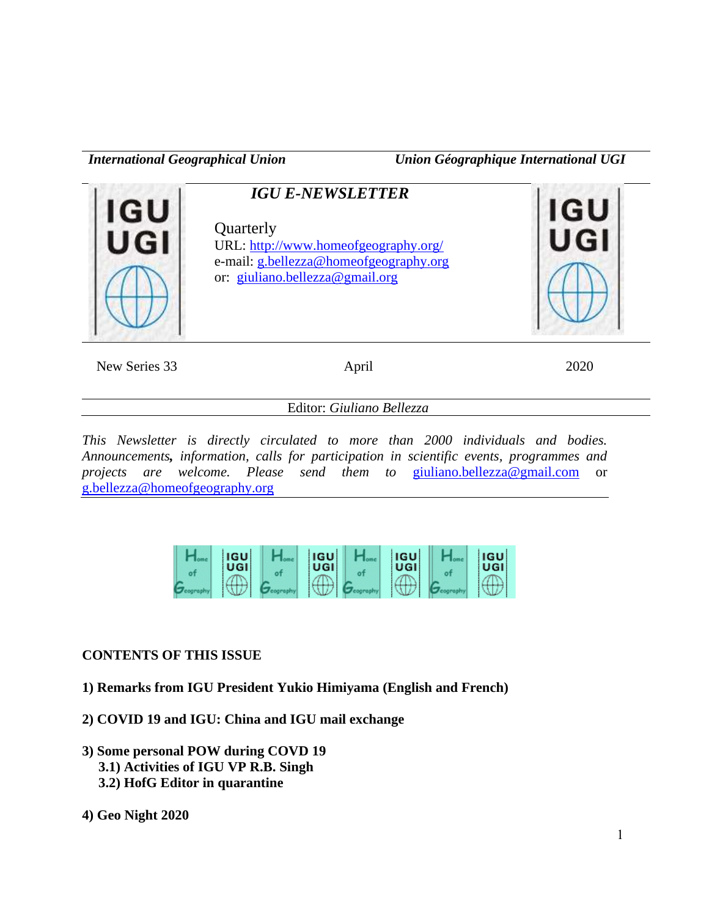*International Geographical Union Union Géographique International UGI*



New Series 33 April 2020

Editor: *Giuliano Bellezza*

*This Newsletter is directly circulated to more than 2000 individuals and bodies. Announcements, information, calls for participation in scientific events, programmes and projects are welcome. Please send them to* [giuliano.bellezza@gmail.com](mailto:giuliano.bellezza@gmail.com) or [g.bellezza@homeofgeography.org](mailto:g.bellezza@homeofgeography.org)

| <b>IGU</b><br>UGI | <b>IGU</b><br>UGI | <b>IGU</b><br>UGI | <b>IGU</b><br>UGI |
|-------------------|-------------------|-------------------|-------------------|
| <u>_____</u>      |                   | ____              |                   |

## **CONTENTS OF THIS ISSUE**

- **1) Remarks from IGU President Yukio Himiyama (English and French)**
- **2) COVID 19 and IGU: China and IGU mail exchange**
- **3) Some personal POW during COVD 19 3.1) Activities of IGU VP R.B. Singh 3.2) HofG Editor in quarantine**
- **4) Geo Night 2020**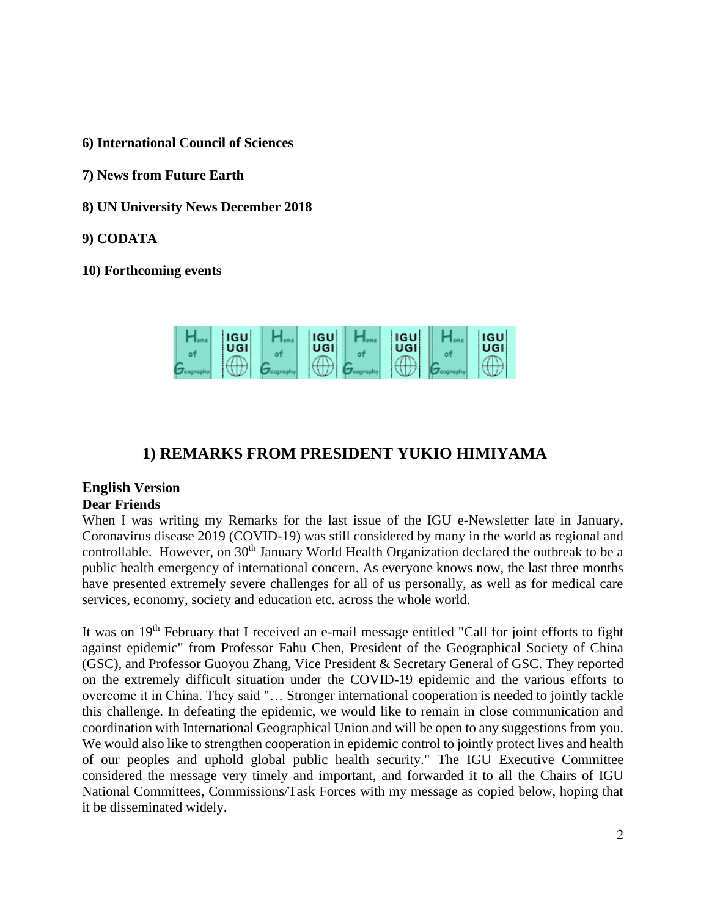- **6) International Council of Sciences**
- **7) News from Future Earth**
- **8) UN University News December 2018**
- **9) CODATA**
- **10) Forthcoming events**



# **1) REMARKS FROM PRESIDENT YUKIO HIMIYAMA**

# **English Version**

## **Dear Friends**

When I was writing my Remarks for the last issue of the IGU e-Newsletter late in January, Coronavirus disease 2019 (COVID-19) was still considered by many in the world as regional and controllable. However, on 30<sup>th</sup> January World Health Organization declared the outbreak to be a public health emergency of international concern. As everyone knows now, the last three months have presented extremely severe challenges for all of us personally, as well as for medical care services, economy, society and education etc. across the whole world.

It was on 19<sup>th</sup> February that I received an e-mail message entitled "Call for joint efforts to fight against epidemic" from Professor Fahu Chen, President of the Geographical Society of China (GSC), and Professor Guoyou Zhang, Vice President & Secretary General of GSC. They reported on the extremely difficult situation under the COVID-19 epidemic and the various efforts to overcome it in China. They said "… Stronger international cooperation is needed to jointly tackle this challenge. In defeating the epidemic, we would like to remain in close communication and coordination with International Geographical Union and will be open to any suggestions from you. We would also like to strengthen cooperation in epidemic control to jointly protect lives and health of our peoples and uphold global public health security." The IGU Executive Committee considered the message very timely and important, and forwarded it to all the Chairs of IGU National Committees, Commissions/Task Forces with my message as copied below, hoping that it be disseminated widely.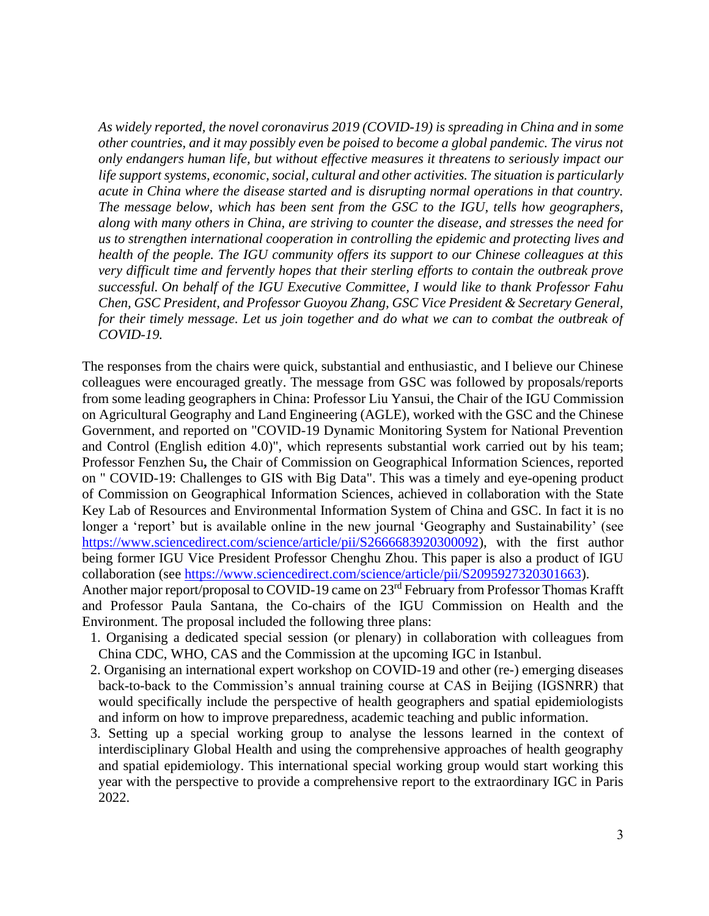*As widely reported, the novel coronavirus 2019 (COVID-19) is spreading in China and in some other countries, and it may possibly even be poised to become a global pandemic. The virus not only endangers human life, but without effective measures it threatens to seriously impact our life support systems, economic, social, cultural and other activities. The situation is particularly acute in China where the disease started and is disrupting normal operations in that country. The message below, which has been sent from the GSC to the IGU, tells how geographers, along with many others in China, are striving to counter the disease, and stresses the need for us to strengthen international cooperation in controlling the epidemic and protecting lives and health of the people. The IGU community offers its support to our Chinese colleagues at this very difficult time and fervently hopes that their sterling efforts to contain the outbreak prove successful. On behalf of the IGU Executive Committee, I would like to thank Professor Fahu Chen, GSC President, and Professor Guoyou Zhang, GSC Vice President & Secretary General, for their timely message. Let us join together and do what we can to combat the outbreak of COVID-19.* 

The responses from the chairs were quick, substantial and enthusiastic, and I believe our Chinese colleagues were encouraged greatly. The message from GSC was followed by proposals/reports from some leading geographers in China: Professor Liu Yansui, the Chair of the IGU Commission on Agricultural Geography and Land Engineering (AGLE), worked with the GSC and the Chinese Government, and reported on "COVID-19 Dynamic Monitoring System for National Prevention and Control (English edition 4.0)", which represents substantial work carried out by his team; Professor Fenzhen Su**,** the Chair of Commission on Geographical Information Sciences, reported on " COVID-19: Challenges to GIS with Big Data". This was a timely and eye-opening product of Commission on Geographical Information Sciences, achieved in collaboration with the State Key Lab of Resources and Environmental Information System of China and GSC. In fact it is no longer a 'report' but is available online in the new journal 'Geography and Sustainability' (see [https://www.sciencedirect.com/science/article/pii/S2666683920300092\)](https://www.sciencedirect.com/science/article/pii/S2666683920300092), with the first author being former IGU Vice President Professor Chenghu Zhou. This paper is also a product of IGU collaboration (see [https://www.sciencedirect.com/science/article/pii/S2095927320301663\)](https://www.sciencedirect.com/science/article/pii/S2095927320301663). Another major report/proposal to COVID-19 came on 23<sup>rd</sup> February from Professor Thomas Krafft

and Professor Paula Santana, the Co-chairs of the IGU Commission on Health and the Environment. The proposal included the following three plans:

- 1. Organising a dedicated special session (or plenary) in collaboration with colleagues from China CDC, WHO, CAS and the Commission at the upcoming IGC in Istanbul.
- 2. Organising an international expert workshop on COVID-19 and other (re-) emerging diseases back-to-back to the Commission's annual training course at CAS in Beijing (IGSNRR) that would specifically include the perspective of health geographers and spatial epidemiologists and inform on how to improve preparedness, academic teaching and public information.
- 3. Setting up a special working group to analyse the lessons learned in the context of interdisciplinary Global Health and using the comprehensive approaches of health geography and spatial epidemiology. This international special working group would start working this year with the perspective to provide a comprehensive report to the extraordinary IGC in Paris 2022.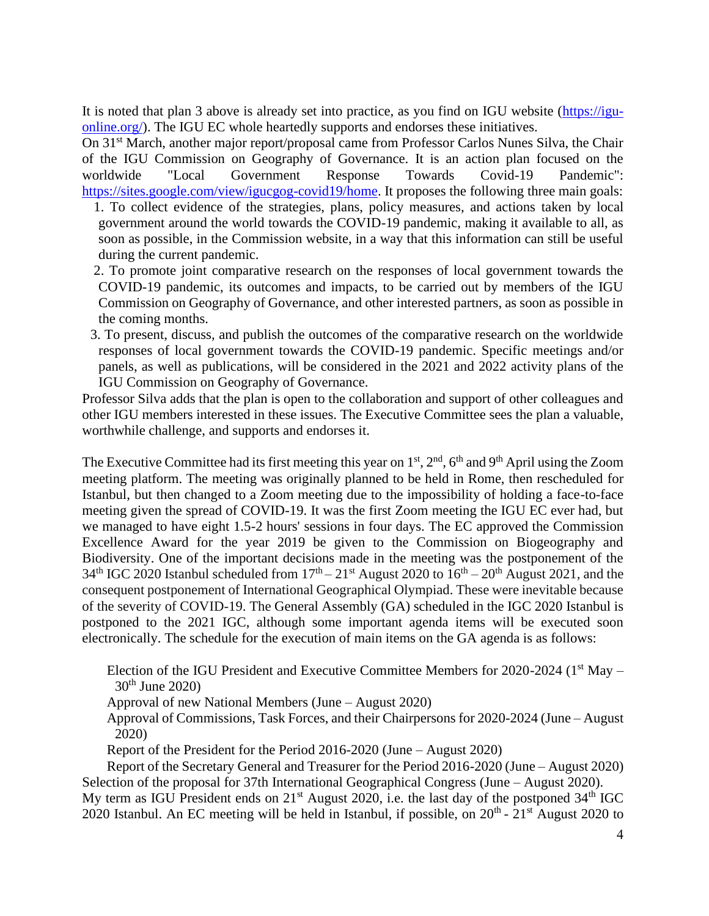It is noted that plan 3 above is already set into practice, as you find on IGU website [\(https://igu](https://igu-online.org/)[online.org/\)](https://igu-online.org/). The IGU EC whole heartedly supports and endorses these initiatives.

On 31<sup>st</sup> March, another major report/proposal came from Professor Carlos Nunes Silva, the Chair of the IGU Commission on Geography of Governance. It is an action plan focused on the worldwide "Local Government Response Towards Covid-19 Pandemic": [https://sites.google.com/view/igucgog-covid19/home.](https://sites.google.com/view/igucgog-covid19/home) It proposes the following three main goals:

- 1. To collect evidence of the strategies, plans, policy measures, and actions taken by local government around the world towards the COVID-19 pandemic, making it available to all, as soon as possible, in the Commission website, in a way that this information can still be useful during the current pandemic.
- 2. To promote joint comparative research on the responses of local government towards the COVID-19 pandemic, its outcomes and impacts, to be carried out by members of the IGU Commission on Geography of Governance, and other interested partners, as soon as possible in the coming months.
- 3. To present, discuss, and publish the outcomes of the comparative research on the worldwide responses of local government towards the COVID-19 pandemic. Specific meetings and/or panels, as well as publications, will be considered in the 2021 and 2022 activity plans of the IGU Commission on Geography of Governance.

Professor Silva adds that the plan is open to the collaboration and support of other colleagues and other IGU members interested in these issues. The Executive Committee sees the plan a valuable, worthwhile challenge, and supports and endorses it.

The Executive Committee had its first meeting this year on 1<sup>st</sup>, 2<sup>nd</sup>, 6<sup>th</sup> and 9<sup>th</sup> April using the Zoom meeting platform. The meeting was originally planned to be held in Rome, then rescheduled for Istanbul, but then changed to a Zoom meeting due to the impossibility of holding a face-to-face meeting given the spread of COVID-19. It was the first Zoom meeting the IGU EC ever had, but we managed to have eight 1.5-2 hours' sessions in four days. The EC approved the Commission Excellence Award for the year 2019 be given to the Commission on Biogeography and Biodiversity. One of the important decisions made in the meeting was the postponement of the 34<sup>th</sup> IGC 2020 Istanbul scheduled from  $17<sup>th</sup> - 21<sup>st</sup>$  August 2020 to  $16<sup>th</sup> - 20<sup>th</sup>$  August 2021, and the consequent postponement of International Geographical Olympiad. These were inevitable because of the severity of COVID-19. The General Assembly (GA) scheduled in the IGC 2020 Istanbul is postponed to the 2021 IGC, although some important agenda items will be executed soon electronically. The schedule for the execution of main items on the GA agenda is as follows:

Election of the IGU President and Executive Committee Members for  $2020$ - $2024$  (1<sup>st</sup> May –  $30^{th}$  June 2020)

Approval of new National Members (June – August 2020)

Approval of Commissions, Task Forces, and their Chairpersons for 2020-2024 (June – August 2020)

Report of the President for the Period 2016-2020 (June – August 2020)

Report of the Secretary General and Treasurer for the Period 2016-2020 (June – August 2020) Selection of the proposal for 37th International Geographical Congress (June – August 2020).

My term as IGU President ends on  $21^{st}$  August 2020, i.e. the last day of the postponed  $34^{th}$  IGC 2020 Istanbul. An EC meeting will be held in Istanbul, if possible, on  $20^{th}$  -  $21^{st}$  August 2020 to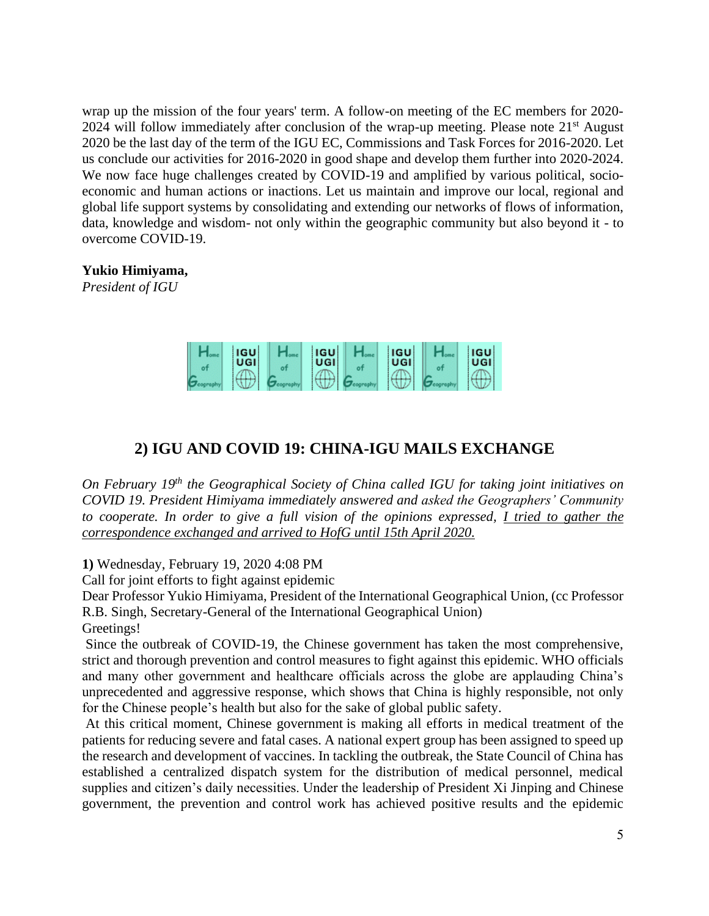wrap up the mission of the four years' term. A follow-on meeting of the EC members for 2020- 2024 will follow immediately after conclusion of the wrap-up meeting. Please note  $21<sup>st</sup>$  August 2020 be the last day of the term of the IGU EC, Commissions and Task Forces for 2016-2020. Let us conclude our activities for 2016-2020 in good shape and develop them further into 2020-2024. We now face huge challenges created by COVID-19 and amplified by various political, socioeconomic and human actions or inactions. Let us maintain and improve our local, regional and global life support systems by consolidating and extending our networks of flows of information, data, knowledge and wisdom- not only within the geographic community but also beyond it - to overcome COVID-19.

## **Yukio Himiyama,**

*President of IGU*



## **2) IGU AND COVID 19: CHINA-IGU MAILS EXCHANGE**

*On February 19th the Geographical Society of China called IGU for taking joint initiatives on COVID 19. President Himiyama immediately answered and asked the Geographers' Community to cooperate. In order to give a full vision of the opinions expressed, I tried to gather the correspondence exchanged and arrived to HofG until 15th April 2020.*

**1)** Wednesday, February 19, 2020 4:08 PM

Call for joint efforts to fight against epidemic

Dear Professor Yukio Himiyama, President of the International Geographical Union, (cc Professor R.B. Singh, Secretary-General of the International Geographical Union) Greetings!

Since the outbreak of COVID-19, the Chinese government has taken the most comprehensive, strict and thorough prevention and control measures to fight against this epidemic. WHO officials and many other government and healthcare officials across the globe are applauding China's unprecedented and aggressive response, which shows that China is highly responsible, not only for the Chinese people's health but also for the sake of global public safety.

At this critical moment, Chinese government is making all efforts in medical treatment of the patients for reducing severe and fatal cases. A national expert group has been assigned to speed up the research and development of vaccines. In tackling the outbreak, the State Council of China has established a centralized dispatch system for the distribution of medical personnel, medical supplies and citizen's daily necessities. Under the leadership of President Xi Jinping and Chinese government, the prevention and control work has achieved positive results and the epidemic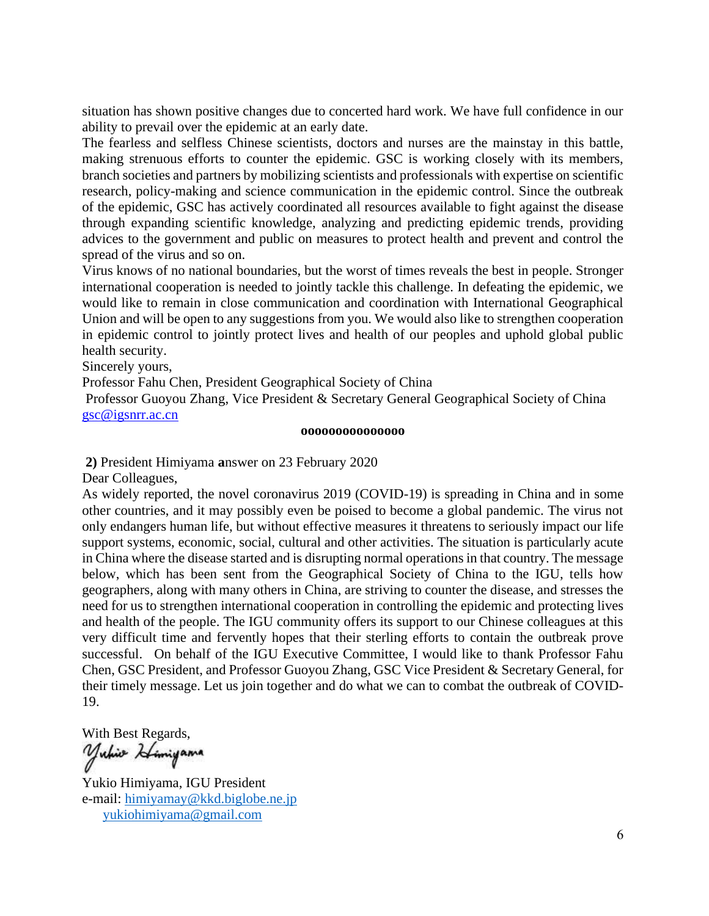situation has shown positive changes due to concerted hard work. We have full confidence in our ability to prevail over the epidemic at an early date.

The fearless and selfless Chinese scientists, doctors and nurses are the mainstay in this battle, making strenuous efforts to counter the epidemic. GSC is working closely with its members, branch societies and partners by mobilizing scientists and professionals with expertise on scientific research, policy-making and science communication in the epidemic control. Since the outbreak of the epidemic, GSC has actively coordinated all resources available to fight against the disease through expanding scientific knowledge, analyzing and predicting epidemic trends, providing advices to the government and public on measures to protect health and prevent and control the spread of the virus and so on.

Virus knows of no national boundaries, but the worst of times reveals the best in people. Stronger international cooperation is needed to jointly tackle this challenge. In defeating the epidemic, we would like to remain in close communication and coordination with International Geographical Union and will be open to any suggestions from you. We would also like to strengthen cooperation in epidemic control to jointly protect lives and health of our peoples and uphold global public health security.

Sincerely yours,

Professor Fahu Chen, President Geographical Society of China

Professor Guoyou Zhang, Vice President & Secretary General Geographical Society of China [gsc@igsnrr.ac.cn](mailto:gsc@igsnrr.ac.cn)

#### **ooooooooooooooo**

**2)** President Himiyama **a**nswer on 23 February 2020

Dear Colleagues,

As widely reported, the novel coronavirus 2019 (COVID-19) is spreading in China and in some other countries, and it may possibly even be poised to become a global pandemic. The virus not only endangers human life, but without effective measures it threatens to seriously impact our life support systems, economic, social, cultural and other activities. The situation is particularly acute in China where the disease started and is disrupting normal operations in that country. The message below, which has been sent from the Geographical Society of China to the IGU, tells how geographers, along with many others in China, are striving to counter the disease, and stresses the need for us to strengthen international cooperation in controlling the epidemic and protecting lives and health of the people. The IGU community offers its support to our Chinese colleagues at this very difficult time and fervently hopes that their sterling efforts to contain the outbreak prove successful. On behalf of the IGU Executive Committee, I would like to thank Professor Fahu Chen, GSC President, and Professor Guoyou Zhang, GSC Vice President & Secretary General, for their timely message. Let us join together and do what we can to combat the outbreak of COVID-19.

With Best Regards,<br>'Yuhw *Hi*mi**yama** 

Yukio Himiyama, IGU President e-mail: [himiyamay@kkd.biglobe.ne.jp](mailto:himiyamay@kkd.biglobe.ne.jp) [yukiohimiyama@gmail.com](mailto:yukiohimiyama@gmail.com)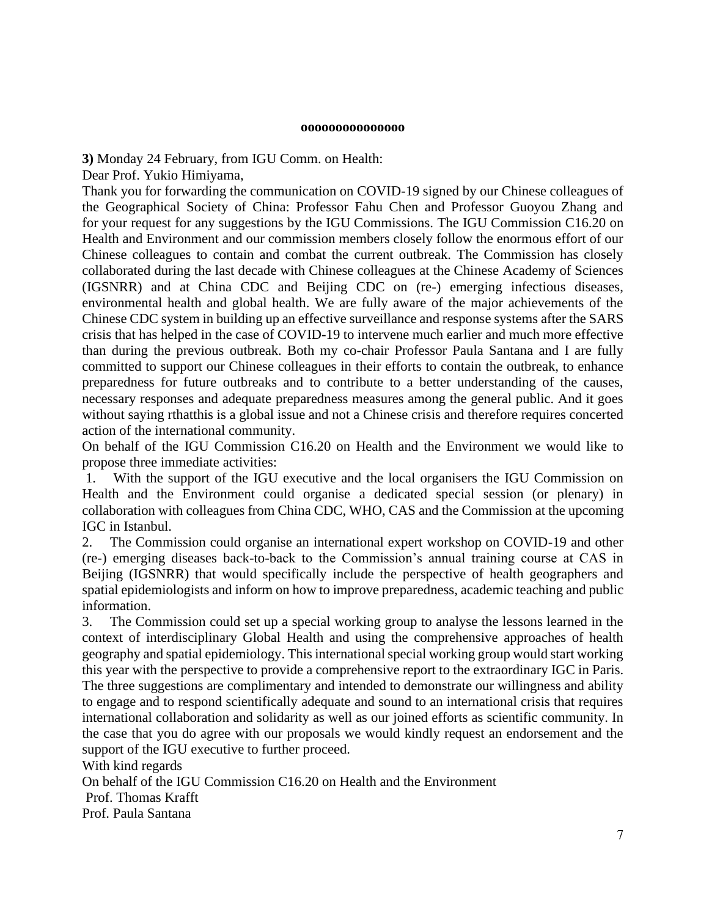#### **ooooooooooooooo**

**3)** Monday 24 February, from IGU Comm. on Health:

Dear Prof. Yukio Himiyama,

Thank you for forwarding the communication on COVID-19 signed by our Chinese colleagues of the Geographical Society of China: Professor Fahu Chen and Professor Guoyou Zhang and for your request for any suggestions by the IGU Commissions. The IGU Commission C16.20 on Health and Environment and our commission members closely follow the enormous effort of our Chinese colleagues to contain and combat the current outbreak. The Commission has closely collaborated during the last decade with Chinese colleagues at the Chinese Academy of Sciences (IGSNRR) and at China CDC and Beijing CDC on (re-) emerging infectious diseases, environmental health and global health. We are fully aware of the major achievements of the Chinese CDC system in building up an effective surveillance and response systems after the SARS crisis that has helped in the case of COVID-19 to intervene much earlier and much more effective than during the previous outbreak. Both my co-chair Professor Paula Santana and I are fully committed to support our Chinese colleagues in their efforts to contain the outbreak, to enhance preparedness for future outbreaks and to contribute to a better understanding of the causes, necessary responses and adequate preparedness measures among the general public. And it goes without saying rthatthis is a global issue and not a Chinese crisis and therefore requires concerted action of the international community.

On behalf of the IGU Commission C16.20 on Health and the Environment we would like to propose three immediate activities:

1. With the support of the IGU executive and the local organisers the IGU Commission on Health and the Environment could organise a dedicated special session (or plenary) in collaboration with colleagues from China CDC, WHO, CAS and the Commission at the upcoming IGC in Istanbul.

2. The Commission could organise an international expert workshop on COVID-19 and other (re-) emerging diseases back-to-back to the Commission's annual training course at CAS in Beijing (IGSNRR) that would specifically include the perspective of health geographers and spatial epidemiologists and inform on how to improve preparedness, academic teaching and public information.

3. The Commission could set up a special working group to analyse the lessons learned in the context of interdisciplinary Global Health and using the comprehensive approaches of health geography and spatial epidemiology. This international special working group would start working this year with the perspective to provide a comprehensive report to the extraordinary IGC in Paris. The three suggestions are complimentary and intended to demonstrate our willingness and ability to engage and to respond scientifically adequate and sound to an international crisis that requires international collaboration and solidarity as well as our joined efforts as scientific community. In the case that you do agree with our proposals we would kindly request an endorsement and the support of the IGU executive to further proceed.

With kind regards On behalf of the IGU Commission C16.20 on Health and the Environment Prof. Thomas Krafft Prof. Paula Santana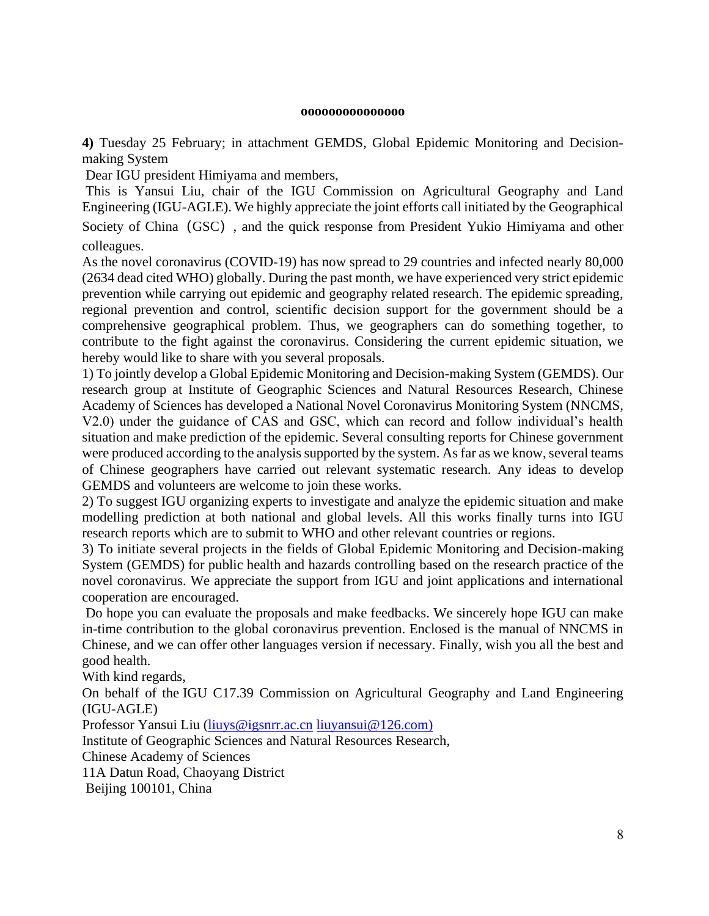#### **ooooooooooooooo**

**4)** Tuesday 25 February; in attachment GEMDS, Global Epidemic Monitoring and Decisionmaking System

Dear IGU president Himiyama and members,

This is Yansui Liu, chair of the IGU Commission on Agricultural Geography and Land Engineering (IGU-AGLE). We highly appreciate the joint efforts call initiated by the Geographical

Society of China (GSC), and the quick response from President Yukio Himiyama and other colleagues.

As the novel coronavirus (COVID-19) has now spread to 29 countries and infected nearly 80,000 (2634 dead cited WHO) globally. During the past month, we have experienced very strict epidemic prevention while carrying out epidemic and geography related research. The epidemic spreading, regional prevention and control, scientific decision support for the government should be a comprehensive geographical problem. Thus, we geographers can do something together, to contribute to the fight against the coronavirus. Considering the current epidemic situation, we hereby would like to share with you several proposals.

1) To jointly develop a Global Epidemic Monitoring and Decision-making System (GEMDS). Our research group at Institute of Geographic Sciences and Natural Resources Research, Chinese Academy of Sciences has developed a National Novel Coronavirus Monitoring System (NNCMS, V2.0) under the guidance of CAS and GSC, which can record and follow individual's health situation and make prediction of the epidemic. Several consulting reports for Chinese government were produced according to the analysis supported by the system. As far as we know, several teams of Chinese geographers have carried out relevant systematic research. Any ideas to develop GEMDS and volunteers are welcome to join these works.

2) To suggest IGU organizing experts to investigate and analyze the epidemic situation and make modelling prediction at both national and global levels. All this works finally turns into IGU research reports which are to submit to WHO and other relevant countries or regions.

3) To initiate several projects in the fields of Global Epidemic Monitoring and Decision-making System (GEMDS) for public health and hazards controlling based on the research practice of the novel coronavirus. We appreciate the support from IGU and joint applications and international cooperation are encouraged.

Do hope you can evaluate the proposals and make feedbacks. We sincerely hope IGU can make in-time contribution to the global coronavirus prevention. Enclosed is the manual of NNCMS in Chinese, and we can offer other languages version if necessary. Finally, wish you all the best and good health.

With kind regards,

On behalf of the IGU C17.39 Commission on Agricultural Geography and Land Engineering (IGU-AGLE)

Professor Yansui Liu [\(liuys@igsnrr.ac.cn](mailto:liuys@igsnrr.ac.cn) [liuyansui@126.com\)](mailto:liuyansui@126.com)

Institute of Geographic Sciences and Natural Resources Research,

Chinese Academy of Sciences

11A Datun Road, Chaoyang District

Beijing 100101, China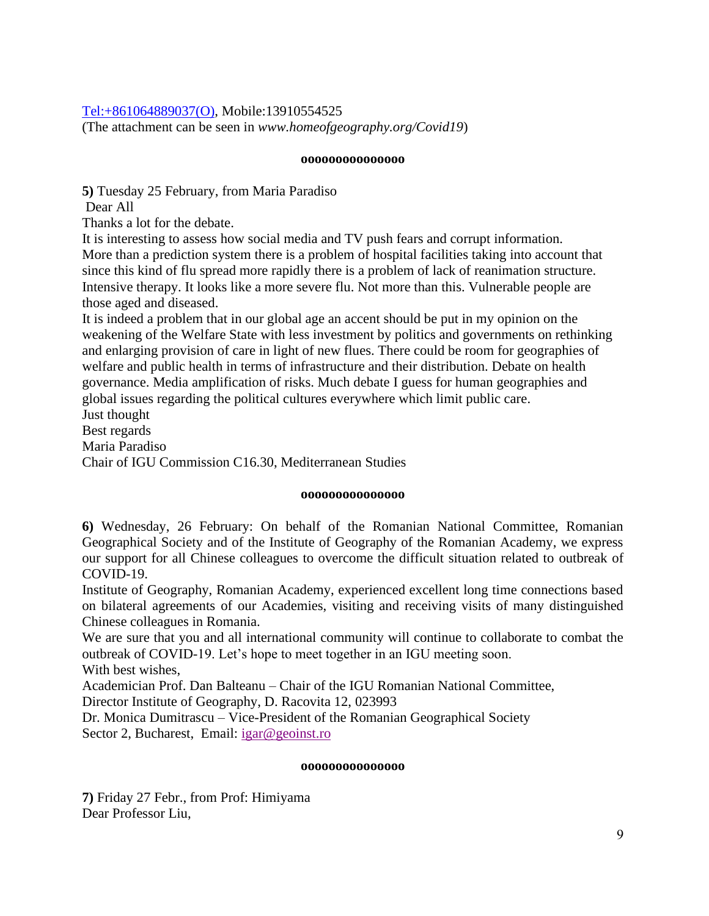## [Tel:+861064889037\(O\),](tel:+861064889037(O)) Mobile:13910554525

(The attachment can be seen in *www.homeofgeography.org/Covid19*)

#### **ooooooooooooooo**

**5)** Tuesday 25 February, from Maria Paradiso

Dear All

Thanks a lot for the debate.

It is interesting to assess how social media and TV push fears and corrupt information. More than a prediction system there is a problem of hospital facilities taking into account that since this kind of flu spread more rapidly there is a problem of lack of reanimation structure. Intensive therapy. It looks like a more severe flu. Not more than this. Vulnerable people are those aged and diseased.

It is indeed a problem that in our global age an accent should be put in my opinion on the weakening of the Welfare State with less investment by politics and governments on rethinking and enlarging provision of care in light of new flues. There could be room for geographies of welfare and public health in terms of infrastructure and their distribution. Debate on health governance. Media amplification of risks. Much debate I guess for human geographies and global issues regarding the political cultures everywhere which limit public care. Just thought

Best regards

Maria Paradiso

Chair of IGU Commission C16.30, Mediterranean Studies

#### **ooooooooooooooo**

**6)** Wednesday, 26 February: On behalf of the Romanian National Committee, Romanian Geographical Society and of the Institute of Geography of the Romanian Academy, we express our support for all Chinese colleagues to overcome the difficult situation related to outbreak of COVID-19.

Institute of Geography, Romanian Academy, experienced excellent long time connections based on bilateral agreements of our Academies, visiting and receiving visits of many distinguished Chinese colleagues in Romania.

We are sure that you and all international community will continue to collaborate to combat the outbreak of COVID-19. Let's hope to meet together in an IGU meeting soon. With best wishes,

Academician Prof. Dan Balteanu – Chair of the IGU Romanian National Committee,

Director Institute of Geography, D. Racovita 12, 023993

Dr. Monica Dumitrascu – Vice-President of the Romanian Geographical Society Sector 2, Bucharest, Email: igar@geoinst.ro

#### **ooooooooooooooo**

**7)** Friday 27 Febr., from Prof: Himiyama Dear Professor Liu,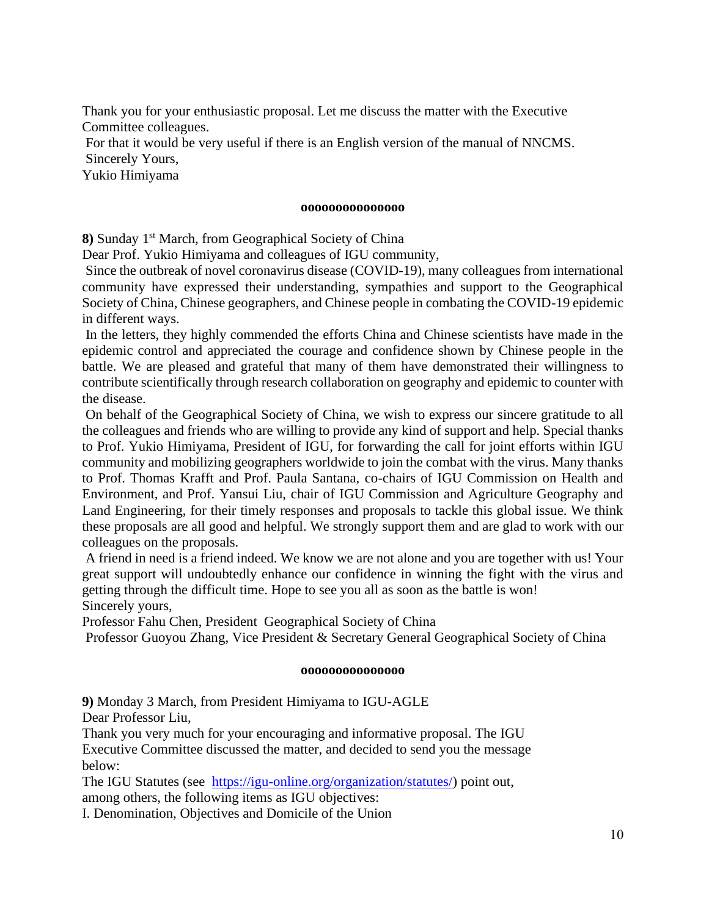Thank you for your enthusiastic proposal. Let me discuss the matter with the Executive Committee colleagues.

For that it would be very useful if there is an English version of the manual of NNCMS. Sincerely Yours,

Yukio Himiyama

#### **ooooooooooooooo**

**8)** Sunday 1st March, from Geographical Society of China

Dear Prof. Yukio Himiyama and colleagues of IGU community,

Since the outbreak of novel coronavirus disease (COVID-19), many colleagues from international community have expressed their understanding, sympathies and support to the Geographical Society of China, Chinese geographers, and Chinese people in combating the COVID-19 epidemic in different ways.

In the letters, they highly commended the efforts China and Chinese scientists have made in the epidemic control and appreciated the courage and confidence shown by Chinese people in the battle. We are pleased and grateful that many of them have demonstrated their willingness to contribute scientifically through research collaboration on geography and epidemic to counter with the disease.

On behalf of the Geographical Society of China, we wish to express our sincere gratitude to all the colleagues and friends who are willing to provide any kind of support and help. Special thanks to Prof. Yukio Himiyama, President of IGU, for forwarding the call for joint efforts within IGU community and mobilizing geographers worldwide to join the combat with the virus. Many thanks to Prof. Thomas Krafft and Prof. Paula Santana, co-chairs of IGU Commission on Health and Environment, and Prof. Yansui Liu, chair of IGU Commission and Agriculture Geography and Land Engineering, for their timely responses and proposals to tackle this global issue. We think these proposals are all good and helpful. We strongly support them and are glad to work with our colleagues on the proposals.

A friend in need is a friend indeed. We know we are not alone and you are together with us! Your great support will undoubtedly enhance our confidence in winning the fight with the virus and getting through the difficult time. Hope to see you all as soon as the battle is won! Sincerely yours,

Professor Fahu Chen, President Geographical Society of China

Professor Guoyou Zhang, Vice President & Secretary General Geographical Society of China

#### **ooooooooooooooo**

**9)** Monday 3 March, from President Himiyama to IGU-AGLE

Dear Professor Liu,

Thank you very much for your encouraging and informative proposal. The IGU Executive Committee discussed the matter, and decided to send you the message below:

The IGU Statutes (see [https://igu-online.org/organization/statutes/\)](https://igu-online.org/organization/statutes/) point out, among others, the following items as IGU objectives:

I. Denomination, Objectives and Domicile of the Union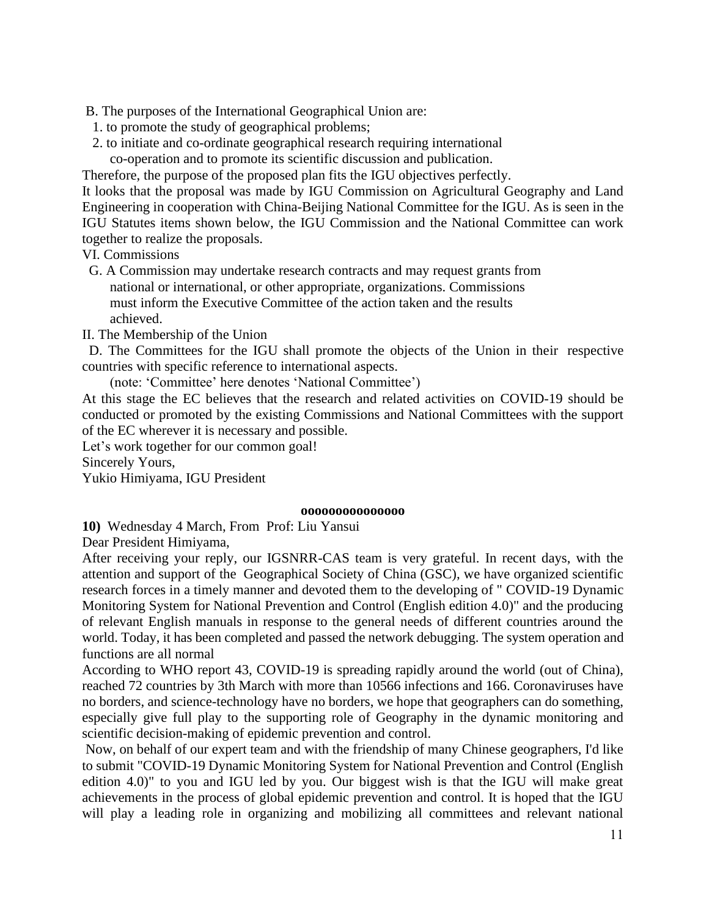B. The purposes of the International Geographical Union are:

- 1. to promote the study of geographical problems;
- 2. to initiate and co-ordinate geographical research requiring international
- co-operation and to promote its scientific discussion and publication.

Therefore, the purpose of the proposed plan fits the IGU objectives perfectly.

It looks that the proposal was made by IGU Commission on Agricultural Geography and Land Engineering in cooperation with China-Beijing National Committee for the IGU. As is seen in the IGU Statutes items shown below, the IGU Commission and the National Committee can work together to realize the proposals.

VI. Commissions

 G. A Commission may undertake research contracts and may request grants from national or international, or other appropriate, organizations. Commissions must inform the Executive Committee of the action taken and the results achieved.

II. The Membership of the Union

 D. The Committees for the IGU shall promote the objects of the Union in their respective countries with specific reference to international aspects.

(note: 'Committee' here denotes 'National Committee')

At this stage the EC believes that the research and related activities on COVID-19 should be conducted or promoted by the existing Commissions and National Committees with the support of the EC wherever it is necessary and possible.

Let's work together for our common goal!

Sincerely Yours,

Yukio Himiyama, IGU President

#### **ooooooooooooooo**

**10)** Wednesday 4 March, From Prof: Liu Yansui

Dear President Himiyama,

After receiving your reply, our IGSNRR-CAS team is very grateful. In recent days, with the attention and support of the Geographical Society of China (GSC), we have organized scientific research forces in a timely manner and devoted them to the developing of " COVID-19 Dynamic Monitoring System for National Prevention and Control (English edition 4.0)" and the producing of relevant English manuals in response to the general needs of different countries around the world. Today, it has been completed and passed the network debugging. The system operation and functions are all normal

According to WHO report 43, COVID-19 is spreading rapidly around the world (out of China), reached 72 countries by 3th March with more than 10566 infections and 166. Coronaviruses have no borders, and science-technology have no borders, we hope that geographers can do something, especially give full play to the supporting role of Geography in the dynamic monitoring and scientific decision-making of epidemic prevention and control.

Now, on behalf of our expert team and with the friendship of many Chinese geographers, I'd like to submit "COVID-19 Dynamic Monitoring System for National Prevention and Control (English edition 4.0)" to you and IGU led by you. Our biggest wish is that the IGU will make great achievements in the process of global epidemic prevention and control. It is hoped that the IGU will play a leading role in organizing and mobilizing all committees and relevant national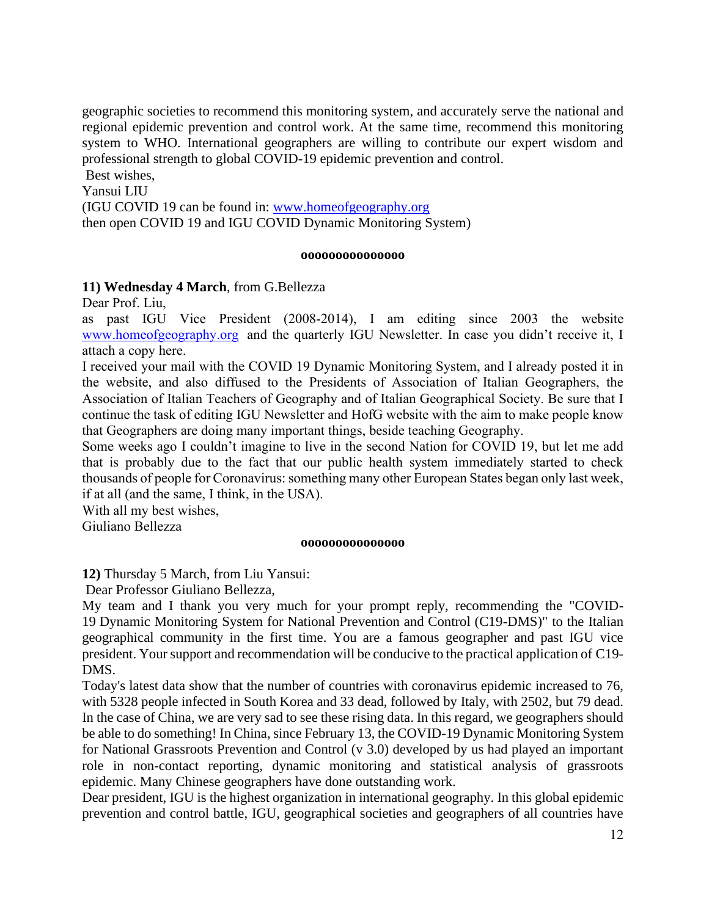geographic societies to recommend this monitoring system, and accurately serve the national and regional epidemic prevention and control work. At the same time, recommend this monitoring system to WHO. International geographers are willing to contribute our expert wisdom and professional strength to global COVID-19 epidemic prevention and control.

Best wishes,

Yansui LIU

(IGU COVID 19 can be found in: [www.homeofgeography.org](http://www.homeofgeography.org/) then open COVID 19 and IGU COVID Dynamic Monitoring System)

#### **ooooooooooooooo**

#### **11) Wednesday 4 March**, from G.Bellezza

Dear Prof. Liu,

as past IGU Vice President (2008-2014), I am editing since 2003 the website [www.homeofgeography.org](http://www.homeofgeography.org/) and the quarterly IGU Newsletter. In case you didn't receive it, I attach a copy here.

I received your mail with the COVID 19 Dynamic Monitoring System, and I already posted it in the website, and also diffused to the Presidents of Association of Italian Geographers, the Association of Italian Teachers of Geography and of Italian Geographical Society. Be sure that I continue the task of editing IGU Newsletter and HofG website with the aim to make people know that Geographers are doing many important things, beside teaching Geography.

Some weeks ago I couldn't imagine to live in the second Nation for COVID 19, but let me add that is probably due to the fact that our public health system immediately started to check thousands of people for Coronavirus: something many other European States began only last week, if at all (and the same, I think, in the USA).

With all my best wishes,

Giuliano Bellezza

#### **ooooooooooooooo**

**12)** Thursday 5 March, from Liu Yansui:

Dear Professor Giuliano Bellezza,

My team and I thank you very much for your prompt reply, recommending the "COVID-19 Dynamic Monitoring System for National Prevention and Control (C19-DMS)" to the Italian geographical community in the first time. You are a famous geographer and past IGU vice president. Your support and recommendation will be conducive to the practical application of C19- DMS.

Today's latest data show that the number of countries with coronavirus epidemic increased to 76, with 5328 people infected in South Korea and 33 dead, followed by Italy, with 2502, but 79 dead. In the case of China, we are very sad to see these rising data. In this regard, we geographers should be able to do something! In China, since February 13, the COVID-19 Dynamic Monitoring System for National Grassroots Prevention and Control (v 3.0) developed by us had played an important role in non-contact reporting, dynamic monitoring and statistical analysis of grassroots epidemic. Many Chinese geographers have done outstanding work.

Dear president, IGU is the highest organization in international geography. In this global epidemic prevention and control battle, IGU, geographical societies and geographers of all countries have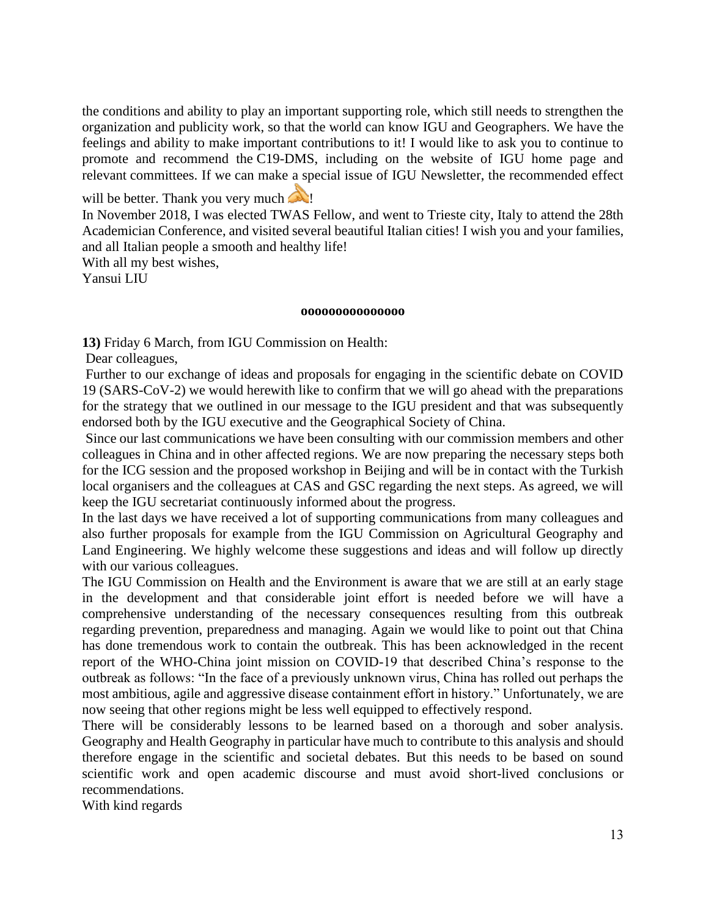the conditions and ability to play an important supporting role, which still needs to strengthen the organization and publicity work, so that the world can know IGU and Geographers. We have the feelings and ability to make important contributions to it! I would like to ask you to continue to promote and recommend the C19-DMS, including on the website of IGU home page and relevant committees. If we can make a special issue of IGU Newsletter, the recommended effect

will be better. Thank you very much

In November 2018, I was elected TWAS Fellow, and went to Trieste city, Italy to attend the 28th Academician Conference, and visited several beautiful Italian cities! I wish you and your families, and all Italian people a smooth and healthy life!

With all my best wishes,

Yansui LIU

#### **ooooooooooooooo**

**13)** Friday 6 March, from IGU Commission on Health:

Dear colleagues,

Further to our exchange of ideas and proposals for engaging in the scientific debate on COVID 19 (SARS-CoV-2) we would herewith like to confirm that we will go ahead with the preparations for the strategy that we outlined in our message to the IGU president and that was subsequently endorsed both by the IGU executive and the Geographical Society of China.

Since our last communications we have been consulting with our commission members and other colleagues in China and in other affected regions. We are now preparing the necessary steps both for the ICG session and the proposed workshop in Beijing and will be in contact with the Turkish local organisers and the colleagues at CAS and GSC regarding the next steps. As agreed, we will keep the IGU secretariat continuously informed about the progress.

In the last days we have received a lot of supporting communications from many colleagues and also further proposals for example from the IGU Commission on Agricultural Geography and Land Engineering. We highly welcome these suggestions and ideas and will follow up directly with our various colleagues.

The IGU Commission on Health and the Environment is aware that we are still at an early stage in the development and that considerable joint effort is needed before we will have a comprehensive understanding of the necessary consequences resulting from this outbreak regarding prevention, preparedness and managing. Again we would like to point out that China has done tremendous work to contain the outbreak. This has been acknowledged in the recent report of the WHO-China joint mission on COVID-19 that described China's response to the outbreak as follows: "In the face of a previously unknown virus, China has rolled out perhaps the most ambitious, agile and aggressive disease containment effort in history." Unfortunately, we are now seeing that other regions might be less well equipped to effectively respond.

There will be considerably lessons to be learned based on a thorough and sober analysis. Geography and Health Geography in particular have much to contribute to this analysis and should therefore engage in the scientific and societal debates. But this needs to be based on sound scientific work and open academic discourse and must avoid short-lived conclusions or recommendations.

With kind regards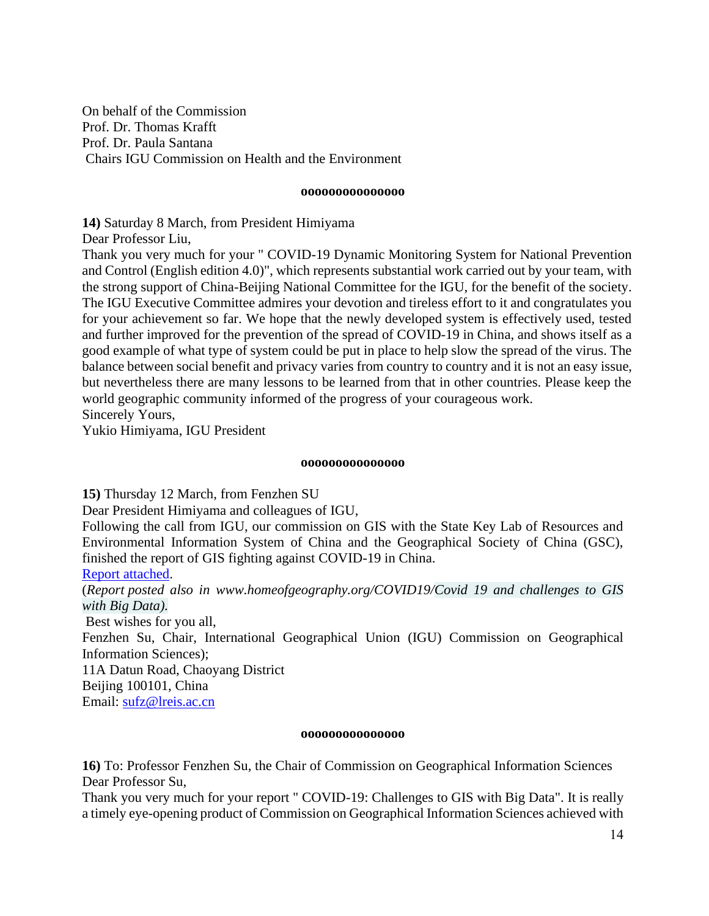On behalf of the Commission Prof. Dr. Thomas Krafft Prof. Dr. Paula Santana Chairs IGU Commission on Health and the Environment

#### **ooooooooooooooo**

**14)** Saturday 8 March, from President Himiyama

Dear Professor Liu,

Thank you very much for your " COVID-19 Dynamic Monitoring System for National Prevention and Control (English edition 4.0)", which represents substantial work carried out by your team, with the strong support of China-Beijing National Committee for the IGU, for the benefit of the society. The IGU Executive Committee admires your devotion and tireless effort to it and congratulates you for your achievement so far. We hope that the newly developed system is effectively used, tested and further improved for the prevention of the spread of COVID-19 in China, and shows itself as a good example of what type of system could be put in place to help slow the spread of the virus. The balance between social benefit and privacy varies from country to country and it is not an easy issue, but nevertheless there are many lessons to be learned from that in other countries. Please keep the world geographic community informed of the progress of your courageous work. Sincerely Yours,

Yukio Himiyama, IGU President

#### **ooooooooooooooo**

**15)** Thursday 12 March, from Fenzhen SU

Dear President Himiyama and colleagues of IGU,

Following the call from IGU, our commission on GIS with the State Key Lab of Resources and Environmental Information System of China and the Geographical Society of China (GSC), finished the report of GIS fighting against COVID-19 in China.

[Report attached.](../COVID%2019/COVID-19_%20Challenges%20to%20GIS%20with%20Big%20Data.pdf)

(*Report posted also in www.homeofgeography.org/COVID19[/Covid 19 and challenges to GIS](http://www.homeofgeography.org/uk/COVID%2019/COVID-19%20%20and%20Challenges%20to%20GIS%20with%20Big%20Data.pdf)  [with Big Data\).](http://www.homeofgeography.org/uk/COVID%2019/COVID-19%20%20and%20Challenges%20to%20GIS%20with%20Big%20Data.pdf)*

Best wishes for you all,

Fenzhen Su, Chair, International Geographical Union (IGU) Commission on Geographical Information Sciences);

11A Datun Road, Chaoyang District

Beijing 100101, China

Email: [sufz@lreis.ac.cn](mailto:sufz@lreis.ac.cn)

#### **ooooooooooooooo**

**16)** To: Professor Fenzhen Su, the Chair of Commission on Geographical Information Sciences Dear Professor Su,

Thank you very much for your report " COVID-19: Challenges to GIS with Big Data". It is really a timely eye-opening product of Commission on Geographical Information Sciences achieved with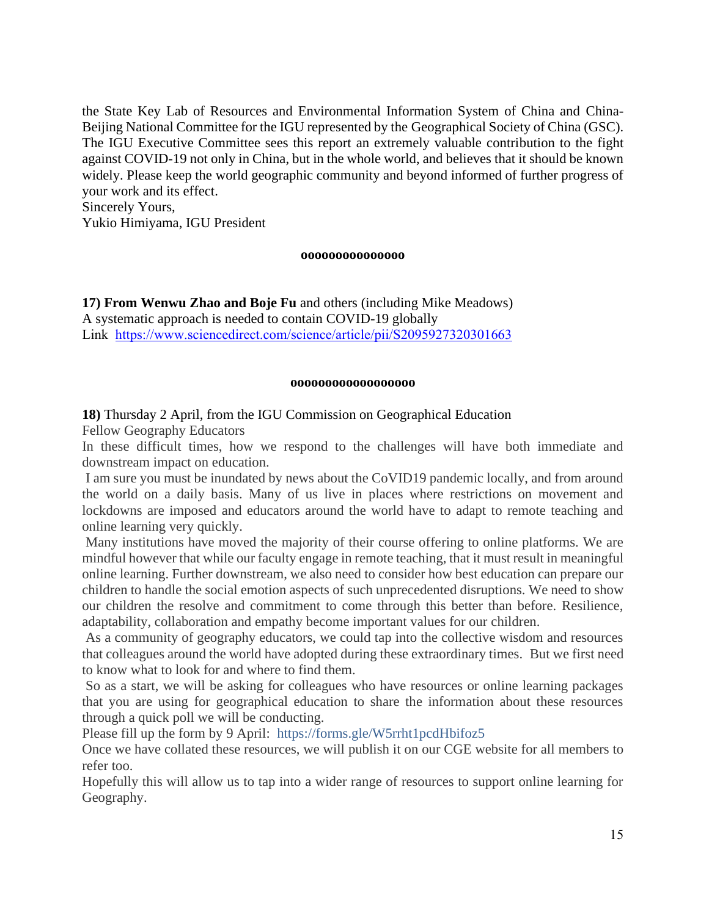the State Key Lab of Resources and Environmental Information System of China and China-Beijing National Committee for the IGU represented by the Geographical Society of China (GSC). The IGU Executive Committee sees this report an extremely valuable contribution to the fight against COVID-19 not only in China, but in the whole world, and believes that it should be known widely. Please keep the world geographic community and beyond informed of further progress of your work and its effect.

Sincerely Yours,

Yukio Himiyama, IGU President

#### **ooooooooooooooo**

**17) From Wenwu Zhao and Boje Fu** and others (including Mike Meadows) A systematic approach is needed to contain COVID-19 globally Link <https://www.sciencedirect.com/science/article/pii/S2095927320301663>

#### **oooooooooooooooooo**

## **18)** Thursday 2 April, from the IGU Commission on Geographical Education

Fellow Geography Educators

In these difficult times, how we respond to the challenges will have both immediate and downstream impact on education.

I am sure you must be inundated by news about the CoVID19 pandemic locally, and from around the world on a daily basis. Many of us live in places where restrictions on movement and lockdowns are imposed and educators around the world have to adapt to remote teaching and online learning very quickly.

Many institutions have moved the majority of their course offering to online platforms. We are mindful however that while our faculty engage in remote teaching, that it must result in meaningful online learning. Further downstream, we also need to consider how best education can prepare our children to handle the social emotion aspects of such unprecedented disruptions. We need to show our children the resolve and commitment to come through this better than before. Resilience, adaptability, collaboration and empathy become important values for our children.

As a community of geography educators, we could tap into the collective wisdom and resources that colleagues around the world have adopted during these extraordinary times. But we first need to know what to look for and where to find them.

So as a start, we will be asking for colleagues who have resources or online learning packages that you are using for geographical education to share the information about these resources through a quick poll we will be conducting.

Please fill up the form by 9 April: [https://forms.gle/W5rrht1pcdHbifoz5](http://www.igu-cge.org/?nltr=Mjk7NDUyO2h0dHBzOi8vZm9ybXMuZ2xlL1c1cnJodDFwY2RIYmlmb3o1OzswZTM3M2VlY2I5NTBhYzUwYzkxMmMwNjcyODczZWIxZQ%3D%3D)

Once we have collated these resources, we will publish it on our CGE website for all members to refer too.

Hopefully this will allow us to tap into a wider range of resources to support online learning for Geography.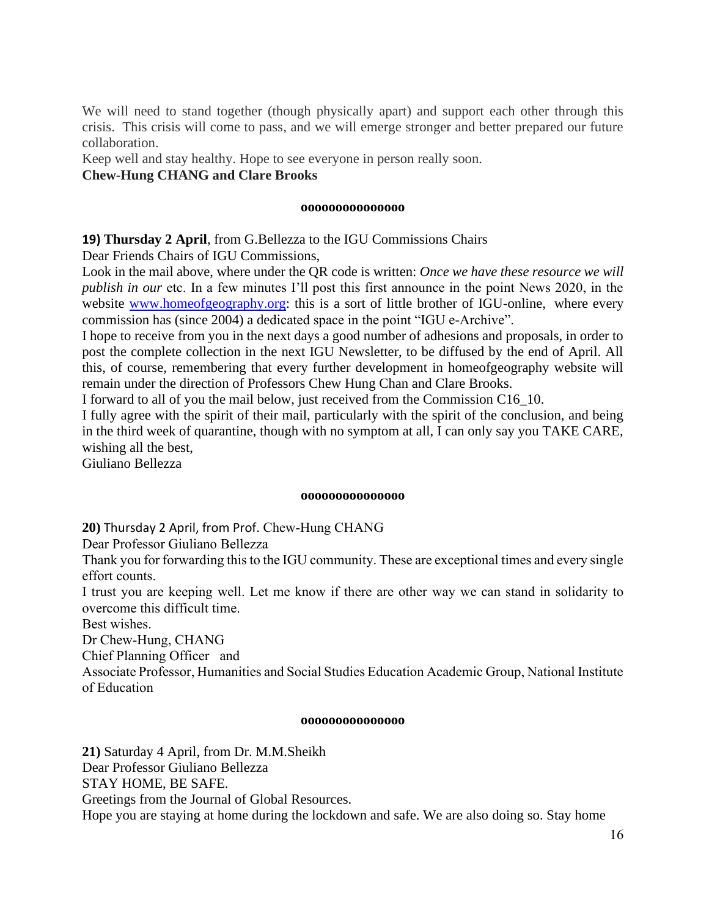We will need to stand together (though physically apart) and support each other through this crisis. This crisis will come to pass, and we will emerge stronger and better prepared our future collaboration.

Keep well and stay healthy. Hope to see everyone in person really soon. **Chew-Hung CHANG and Clare Brooks**

#### **ooooooooooooooo**

**19) Thursday 2 April**, from G.Bellezza to the IGU Commissions Chairs

Dear Friends Chairs of IGU Commissions,

Look in the mail above, where under the QR code is written: *Once we have these resource we will publish in our* etc. In a few minutes I'll post this first announce in the point News 2020, in the website [www.homeofgeography.org:](http://www.homeofgeography.org/) this is a sort of little brother of IGU-online, where every commission has (since 2004) a dedicated space in the point "IGU e-Archive".

I hope to receive from you in the next days a good number of adhesions and proposals, in order to post the complete collection in the next IGU Newsletter, to be diffused by the end of April. All this, of course, remembering that every further development in homeofgeography website will remain under the direction of Professors Chew Hung Chan and Clare Brooks.

I forward to all of you the mail below, just received from the Commission C16\_10.

I fully agree with the spirit of their mail, particularly with the spirit of the conclusion, and being in the third week of quarantine, though with no symptom at all, I can only say you TAKE CARE, wishing all the best,

Giuliano Bellezza

#### **ooooooooooooooo**

**20)** Thursday 2 April, from Prof. Chew-Hung CHANG

Dear Professor Giuliano Bellezza

Thank you for forwarding this to the IGU community. These are exceptional times and every single effort counts.

I trust you are keeping well. Let me know if there are other way we can stand in solidarity to overcome this difficult time.

Best wishes.

Dr Chew-Hung, CHANG

Chief Planning Officer and

Associate Professor, Humanities and Social Studies Education Academic Group, National Institute of Education

#### **ooooooooooooooo**

**21)** Saturday 4 April, from Dr. M.M.Sheikh Dear Professor Giuliano Bellezza STAY HOME, BE SAFE. Greetings from the Journal of Global Resources. Hope you are staying at home during the lockdown and safe. We are also doing so. Stay home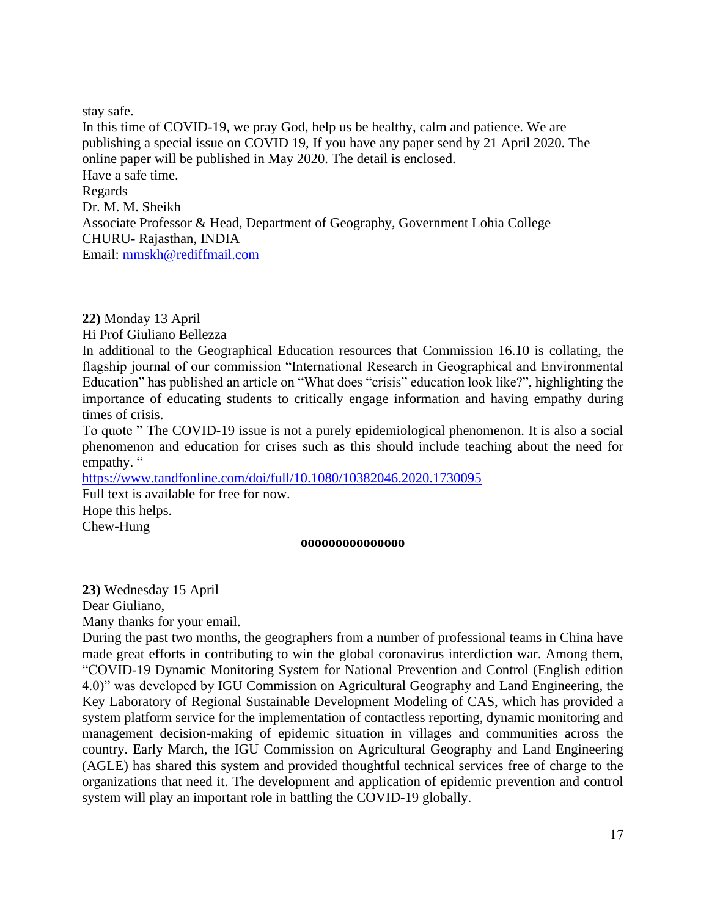stay safe. In this time of COVID-19, we pray God, help us be healthy, calm and patience. We are publishing a special issue on COVID 19, If you have any paper send by 21 April 2020. The online paper will be published in May 2020. The detail is enclosed. Have a safe time. Regards Dr. M. M. Sheikh Associate Professor & Head, Department of Geography, Government Lohia College CHURU- Rajasthan, INDIA Email: [mmskh@rediffmail.com](mailto:mmskh@rediffmail.com)

**22)** Monday 13 April

Hi Prof Giuliano Bellezza

In additional to the Geographical Education resources that Commission 16.10 is collating, the flagship journal of our commission "International Research in Geographical and Environmental Education" has published an article on "What does "crisis" education look like?", highlighting the importance of educating students to critically engage information and having empathy during times of crisis.

To quote " The COVID-19 issue is not a purely epidemiological phenomenon. It is also a social phenomenon and education for crises such as this should include teaching about the need for empathy. "

<https://www.tandfonline.com/doi/full/10.1080/10382046.2020.1730095>

Full text is available for free for now. Hope this helps. Chew-Hung

#### **ooooooooooooooo**

**23)** Wednesday 15 April Dear Giuliano, Many thanks for your email.

During the past two months, the geographers from a number of professional teams in China have made great efforts in contributing to win the global coronavirus interdiction war. Among them, "COVID-19 Dynamic Monitoring System for National Prevention and Control (English edition 4.0)" was developed by IGU Commission on Agricultural Geography and Land Engineering, the Key Laboratory of Regional Sustainable Development Modeling of CAS, which has provided a system platform service for the implementation of contactless reporting, dynamic monitoring and management decision-making of epidemic situation in villages and communities across the country. Early March, the IGU Commission on Agricultural Geography and Land Engineering (AGLE) has shared this system and provided thoughtful technical services free of charge to the organizations that need it. The development and application of epidemic prevention and control system will play an important role in battling the COVID-19 globally.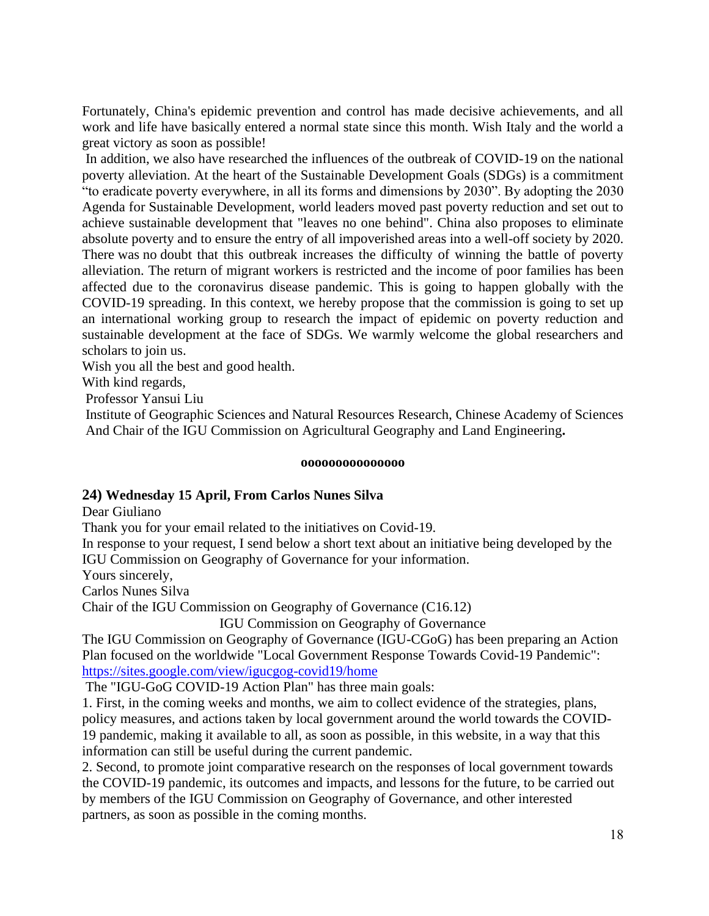Fortunately, China's epidemic prevention and control has made decisive achievements, and all work and life have basically entered a normal state since this month. Wish Italy and the world a great victory as soon as possible!

In addition, we also have researched the influences of the outbreak of COVID-19 on the national poverty alleviation. At the heart of the Sustainable Development Goals (SDGs) is a commitment "to eradicate poverty everywhere, in all its forms and dimensions by 2030". By adopting the 2030 Agenda for Sustainable Development, world leaders moved past poverty reduction and set out to achieve sustainable development that "leaves no one behind". China also proposes to eliminate absolute poverty and to ensure the entry of all impoverished areas into a well-off society by 2020. There was no doubt that this outbreak increases the difficulty of winning the battle of poverty alleviation. The return of migrant workers is restricted and the income of poor families has been affected due to the coronavirus disease pandemic. This is going to happen globally with the COVID-19 spreading. In this context, we hereby propose that the commission is going to set up an international working group to research the impact of epidemic on poverty reduction and sustainable development at the face of SDGs. We warmly welcome the global researchers and scholars to join us.

Wish you all the best and good health.

With kind regards,

Professor Yansui Liu

Institute of Geographic Sciences and Natural Resources Research, Chinese Academy of Sciences And Chair of the IGU Commission on Agricultural Geography and Land Engineering**.**

#### **ooooooooooooooo**

## **24) Wednesday 15 April, From Carlos Nunes Silva**

Dear Giuliano

Thank you for your email related to the initiatives on Covid-19.

In response to your request, I send below a short text about an initiative being developed by the IGU Commission on Geography of Governance for your information.

Yours sincerely,

Carlos Nunes Silva

Chair of the IGU Commission on Geography of Governance (C16.12)

IGU Commission on Geography of Governance

The IGU Commission on Geography of Governance (IGU-CGoG) has been preparing an Action Plan focused on the worldwide "Local Government Response Towards Covid-19 Pandemic": <https://sites.google.com/view/igucgog-covid19/home>

The "IGU-GoG COVID-19 Action Plan" has three main goals:

1. First, in the coming weeks and months, we aim to collect evidence of the strategies, plans, policy measures, and actions taken by local government around the world towards the COVID-19 pandemic, making it available to all, as soon as possible, in this website, in a way that this information can still be useful during the current pandemic.

2. Second, to promote joint comparative research on the responses of local government towards the COVID-19 pandemic, its outcomes and impacts, and lessons for the future, to be carried out by members of the IGU Commission on Geography of Governance, and other interested partners, as soon as possible in the coming months.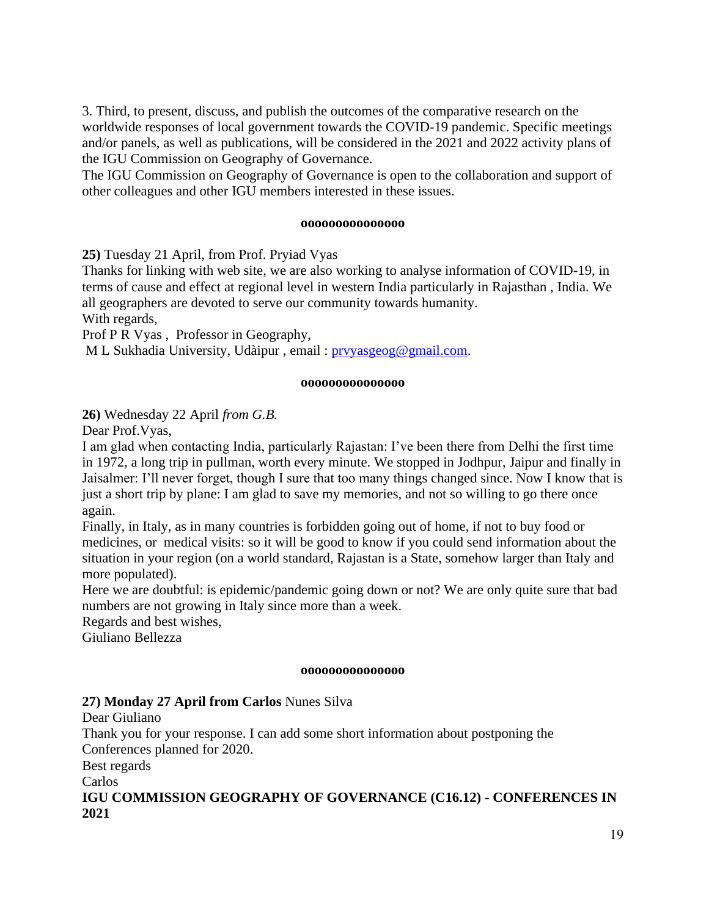3. Third, to present, discuss, and publish the outcomes of the comparative research on the worldwide responses of local government towards the COVID-19 pandemic. Specific meetings and/or panels, as well as publications, will be considered in the 2021 and 2022 activity plans of the IGU Commission on Geography of Governance.

The IGU Commission on Geography of Governance is open to the collaboration and support of other colleagues and other IGU members interested in these issues.

#### **ooooooooooooooo**

**25)** Tuesday 21 April, from Prof. Pryiad Vyas

Thanks for linking with web site, we are also working to analyse information of COVID-19, in terms of cause and effect at regional level in western India particularly in Rajasthan , India. We all geographers are devoted to serve our community towards humanity.

With regards,

Prof P R Vyas , Professor in Geography,

M L Sukhadia University, Udàipur , email : [prvyasgeog@gmail.com.](mailto:prvyasgeog@gmail.com)

#### **ooooooooooooooo**

**26)** Wednesday 22 April *from G.B.*

Dear Prof.Vyas,

I am glad when contacting India, particularly Rajastan: I've been there from Delhi the first time in 1972, a long trip in pullman, worth every minute. We stopped in Jodhpur, Jaipur and finally in Jaisalmer: I'll never forget, though I sure that too many things changed since. Now I know that is just a short trip by plane: I am glad to save my memories, and not so willing to go there once again.

Finally, in Italy, as in many countries is forbidden going out of home, if not to buy food or medicines, or medical visits: so it will be good to know if you could send information about the situation in your region (on a world standard, Rajastan is a State, somehow larger than Italy and more populated).

Here we are doubtful: is epidemic/pandemic going down or not? We are only quite sure that bad numbers are not growing in Italy since more than a week.

Regards and best wishes,

Giuliano Bellezza

#### **ooooooooooooooo**

## **27) Monday 27 April from Carlos** Nunes Silva

Dear Giuliano

Thank you for your response. I can add some short information about postponing the Conferences planned for 2020.

Best regards

Carlos

**IGU COMMISSION GEOGRAPHY OF GOVERNANCE (C16.12) - CONFERENCES IN 2021**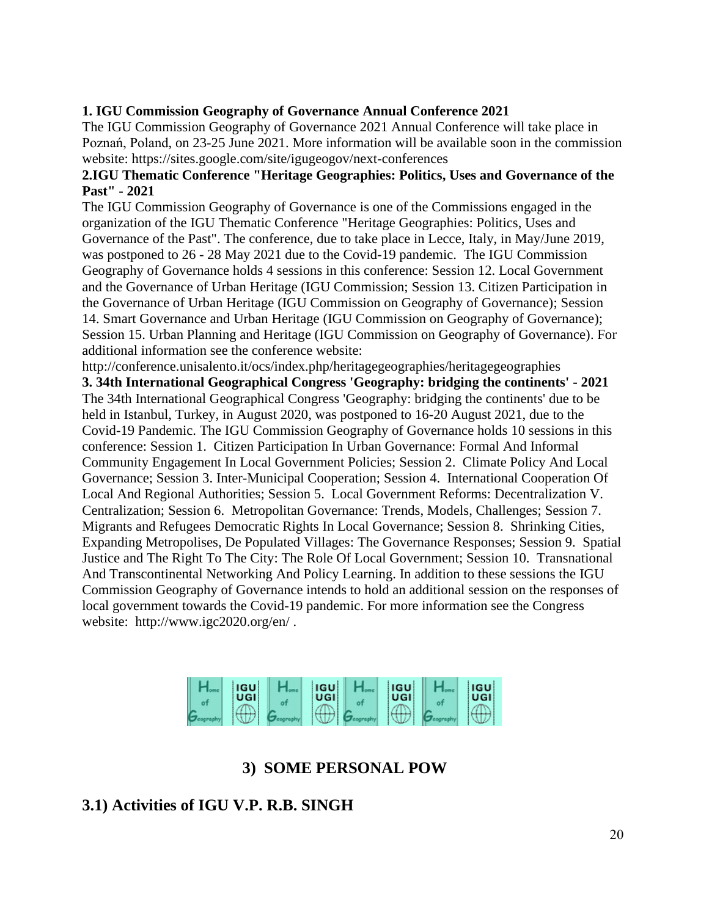## **1. IGU Commission Geography of Governance Annual Conference 2021**

The IGU Commission Geography of Governance 2021 Annual Conference will take place in Poznań, Poland, on 23-25 June 2021. More information will be available soon in the commission website: https://sites.google.com/site/igugeogov/next-conferences

## **2.IGU Thematic Conference "Heritage Geographies: Politics, Uses and Governance of the Past" - 2021**

The IGU Commission Geography of Governance is one of the Commissions engaged in the organization of the IGU Thematic Conference "Heritage Geographies: Politics, Uses and Governance of the Past". The conference, due to take place in Lecce, Italy, in May/June 2019, was postponed to 26 - 28 May 2021 due to the Covid-19 pandemic. The IGU Commission Geography of Governance holds 4 sessions in this conference: Session 12. Local Government and the Governance of Urban Heritage (IGU Commission; Session 13. Citizen Participation in the Governance of Urban Heritage (IGU Commission on Geography of Governance); Session 14. Smart Governance and Urban Heritage (IGU Commission on Geography of Governance); Session 15. Urban Planning and Heritage (IGU Commission on Geography of Governance). For additional information see the conference website:

http://conference.unisalento.it/ocs/index.php/heritagegeographies/heritagegeographies **3. 34th International Geographical Congress 'Geography: bridging the continents' - 2021** The 34th International Geographical Congress 'Geography: bridging the continents' due to be held in Istanbul, Turkey, in August 2020, was postponed to 16-20 August 2021, due to the Covid-19 Pandemic. The IGU Commission Geography of Governance holds 10 sessions in this conference: Session 1. Citizen Participation In Urban Governance: Formal And Informal Community Engagement In Local Government Policies; Session 2. Climate Policy And Local Governance; Session 3. Inter-Municipal Cooperation; Session 4. International Cooperation Of Local And Regional Authorities; Session 5. Local Government Reforms: Decentralization V. Centralization; Session 6. Metropolitan Governance: Trends, Models, Challenges; Session 7. Migrants and Refugees Democratic Rights In Local Governance; Session 8. Shrinking Cities, Expanding Metropolises, De Populated Villages: The Governance Responses; Session 9. Spatial Justice and The Right To The City: The Role Of Local Government; Session 10. Transnational And Transcontinental Networking And Policy Learning. In addition to these sessions the IGU Commission Geography of Governance intends to hold an additional session on the responses of local government towards the Covid-19 pandemic. For more information see the Congress website: http://www.igc2020.org/en/ .



# **3) SOME PERSONAL POW**

# **3.1) Activities of IGU V.P. R.B. SINGH**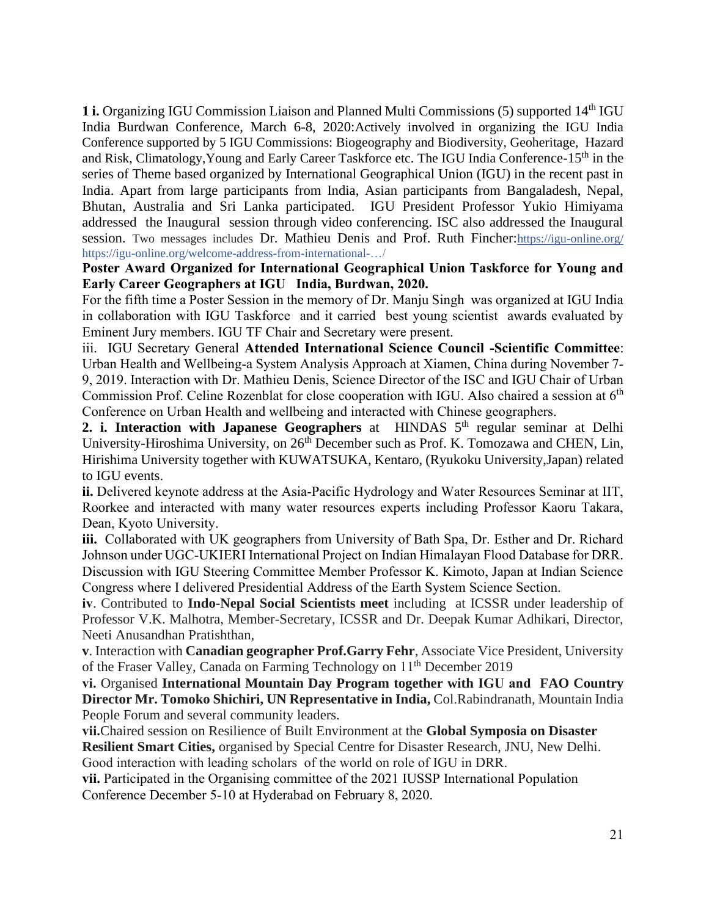1 i. Organizing IGU Commission Liaison and Planned Multi Commissions (5) supported 14<sup>th</sup> IGU India Burdwan Conference, March 6-8, 2020:Actively involved in organizing the IGU India Conference supported by 5 IGU Commissions: Biogeography and Biodiversity, Geoheritage, Hazard and Risk, Climatology, Young and Early Career Taskforce etc. The IGU India Conference-15<sup>th</sup> in the series of Theme based organized by International Geographical Union (IGU) in the recent past in India. Apart from large participants from India, Asian participants from Bangaladesh, Nepal, Bhutan, Australia and Sri Lanka participated. IGU President Professor Yukio Himiyama addressed the Inaugural session through video conferencing. ISC also addressed the Inaugural session. Two messages includes Dr. Mathieu Denis and Prof. Ruth Fincher:[https://igu-online.org/](https://igu-online.org/?fbclid=IwAR2YKzKVA2FrtPBO7hYMVCvY-uRivBzEnkMvXVDHm4TFte-nce5RoT5a3rY) [https://igu-online.org/welcome-address-from-international-…/](https://igu-online.org/welcome-address-from-international-science-council-isc/?fbclid=IwAR09PprMPyFCoX39b84MVmsg8ZTj7ZKez1Ka3anESKtnBq7bUi96OnDaNGY)

**Poster Award Organized for International Geographical Union Taskforce for Young and Early Career Geographers at IGU India, Burdwan, 2020.** 

For the fifth time a Poster Session in the memory of Dr. Manju Singh was organized at IGU India in collaboration with IGU Taskforce and it carried best young scientist awards evaluated by Eminent Jury members. IGU TF Chair and Secretary were present.

iii. IGU Secretary General **Attended International Science Council -Scientific Committee**: Urban Health and Wellbeing-a System Analysis Approach at Xiamen, China during November 7- 9, 2019. Interaction with Dr. Mathieu Denis, Science Director of the ISC and IGU Chair of Urban Commission Prof. Celine Rozenblat for close cooperation with IGU. Also chaired a session at 6<sup>th</sup> Conference on Urban Health and wellbeing and interacted with Chinese geographers.

**2. i. Interaction with Japanese Geographers** at **HINDAS** 5<sup>th</sup> regular seminar at Delhi University-Hiroshima University, on 26th December such as Prof. K. Tomozawa and CHEN, Lin, Hirishima University together with KUWATSUKA, Kentaro, (Ryukoku University,Japan) related to IGU events.

**ii.** Delivered keynote address at the Asia-Pacific Hydrology and Water Resources Seminar at IIT, Roorkee and interacted with many water resources experts including Professor Kaoru Takara, Dean, Kyoto University.

**iii.** Collaborated with UK geographers from University of Bath Spa, Dr. Esther and Dr. Richard Johnson under UGC-UKIERI International Project on Indian Himalayan Flood Database for DRR. Discussion with IGU Steering Committee Member Professor K. Kimoto, Japan at Indian Science Congress where I delivered Presidential Address of the Earth System Science Section.

**iv**. Contributed to **Indo-Nepal Social Scientists meet** including at ICSSR under leadership of Professor V.K. Malhotra, Member-Secretary, ICSSR and Dr. Deepak Kumar Adhikari, Director, Neeti Anusandhan Pratishthan,

**v**. Interaction with **Canadian geographer Prof.Garry Fehr**, Associate Vice President, University of the Fraser Valley, Canada on Farming Technology on 11th December 2019

**vi.** Organised **International Mountain Day Program together with IGU and FAO Country Director Mr. Tomoko Shichiri, UN Representative in India,** Col.Rabindranath, Mountain India People Forum and several community leaders.

**vii.**Chaired session on Resilience of Built Environment at the **Global Symposia on Disaster Resilient Smart Cities,** organised by Special Centre for Disaster Research, JNU, New Delhi.

Good interaction with leading scholars of the world on role of IGU in DRR[.](https://www.facebook.com/photo.php?fbid=605494336923097&set=pcb.605494460256418&type=3&__tn__=HH-R&eid=ARB40fT8qT0AOw59YNse1HEv9iqzMsS9FDfzB-04yXKuOST44VbsCyItpjgXj1N8xPb6xixvyXSYyGPe)

**vii.** Participated in the Organising committee of the 2021 IUSSP International Population Conference December 5-10 at Hyderabad on February 8, 2020.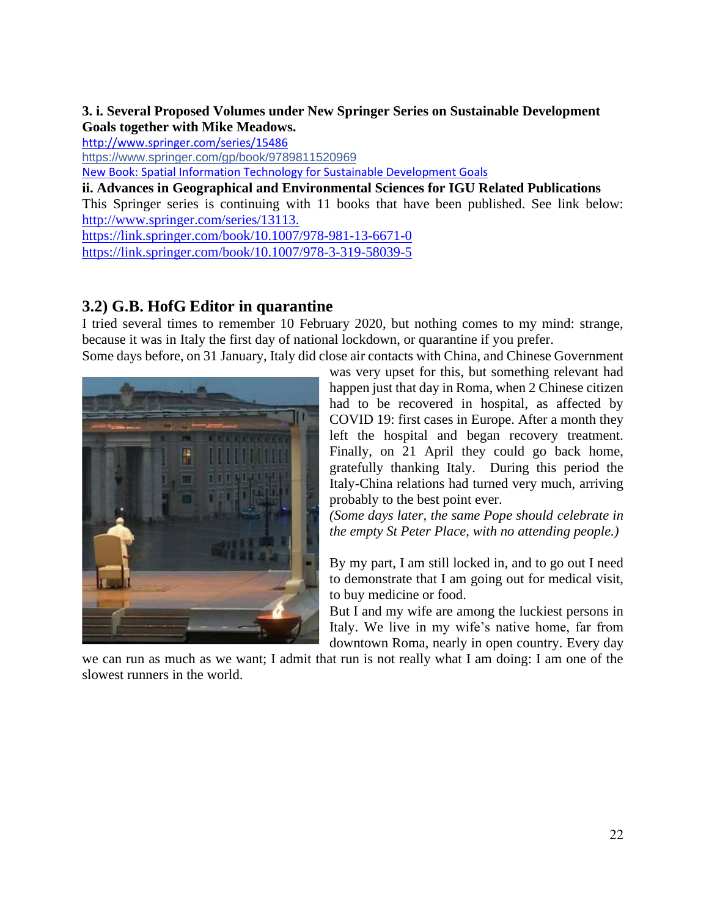## **3. i. Several Proposed Volumes under New Springer Series on Sustainable Development Goals together with Mike Meadows[.](http://www.springer.com/series/15486)**

<http://www.springer.com/series/15486>

[https://www.springer.com/gp/book/9789811520969](https://www.springer.com/gp/book/9789811520969?fbclid=IwAR3lf5gRDyNHFZBhk466E-nefNEXuKpg88lBabdmaY2RHZ8aDmLB8g8xwd4)

New Book: Spatial Information Technology for Sustainable Development Goals

**ii. Advances in Geographical and Environmental Sciences for IGU Related Publications**

This Springer series is continuing with 11 books that have been published. See link below: [http://www.springer.com/series/13113.](http://www.springer.com/series/13113)

<https://link.springer.com/book/10.1007/978-981-13-6671-0> <https://link.springer.com/book/10.1007/978-3-319-58039-5>

## **3.2) G.B. HofG Editor in quarantine**

I tried several times to remember 10 February 2020, but nothing comes to my mind: strange, because it was in Italy the first day of national lockdown, or quarantine if you prefer. Some days before, on 31 January, Italy did close air contacts with China, and Chinese Government



was very upset for this, but something relevant had happen just that day in Roma, when 2 Chinese citizen had to be recovered in hospital, as affected by COVID 19: first cases in Europe. After a month they left the hospital and began recovery treatment. Finally, on 21 April they could go back home, gratefully thanking Italy. During this period the Italy-China relations had turned very much, arriving probably to the best point ever.

*(Some days later, the same Pope should celebrate in the empty St Peter Place, with no attending people.)*

By my part, I am still locked in, and to go out I need to demonstrate that I am going out for medical visit, to buy medicine or food.

But I and my wife are among the luckiest persons in Italy. We live in my wife's native home, far from downtown Roma, nearly in open country. Every day

we can run as much as we want; I admit that run is not really what I am doing: I am one of the slowest runners in the world.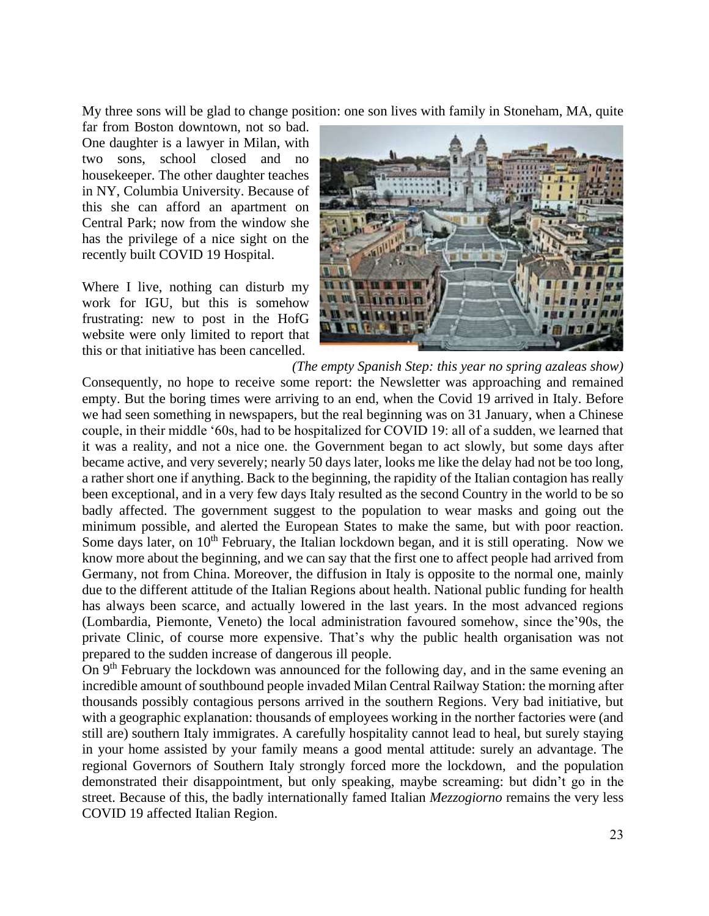My three sons will be glad to change position: one son lives with family in Stoneham, MA, quite

far from Boston downtown, not so bad. One daughter is a lawyer in Milan, with two sons, school closed and no housekeeper. The other daughter teaches in NY, Columbia University. Because of this she can afford an apartment on Central Park; now from the window she has the privilege of a nice sight on the recently built COVID 19 Hospital.

Where I live, nothing can disturb my work for IGU, but this is somehow frustrating: new to post in the HofG website were only limited to report that this or that initiative has been cancelled.



*(The empty Spanish Step: this year no spring azaleas show)*  Consequently, no hope to receive some report: the Newsletter was approaching and remained empty. But the boring times were arriving to an end, when the Covid 19 arrived in Italy. Before we had seen something in newspapers, but the real beginning was on 31 January, when a Chinese couple, in their middle '60s, had to be hospitalized for COVID 19: all of a sudden, we learned that it was a reality, and not a nice one. the Government began to act slowly, but some days after became active, and very severely; nearly 50 days later, looks me like the delay had not be too long, a rather short one if anything. Back to the beginning, the rapidity of the Italian contagion has really been exceptional, and in a very few days Italy resulted as the second Country in the world to be so badly affected. The government suggest to the population to wear masks and going out the minimum possible, and alerted the European States to make the same, but with poor reaction. Some days later, on 10<sup>th</sup> February, the Italian lockdown began, and it is still operating. Now we know more about the beginning, and we can say that the first one to affect people had arrived from Germany, not from China. Moreover, the diffusion in Italy is opposite to the normal one, mainly due to the different attitude of the Italian Regions about health. National public funding for health has always been scarce, and actually lowered in the last years. In the most advanced regions (Lombardia, Piemonte, Veneto) the local administration favoured somehow, since the'90s, the private Clinic, of course more expensive. That's why the public health organisation was not prepared to the sudden increase of dangerous ill people.

On 9<sup>th</sup> February the lockdown was announced for the following day, and in the same evening an incredible amount of southbound people invaded Milan Central Railway Station: the morning after thousands possibly contagious persons arrived in the southern Regions. Very bad initiative, but with a geographic explanation: thousands of employees working in the norther factories were (and still are) southern Italy immigrates. A carefully hospitality cannot lead to heal, but surely staying in your home assisted by your family means a good mental attitude: surely an advantage. The regional Governors of Southern Italy strongly forced more the lockdown, and the population demonstrated their disappointment, but only speaking, maybe screaming: but didn't go in the street. Because of this, the badly internationally famed Italian *Mezzogiorno* remains the very less COVID 19 affected Italian Region.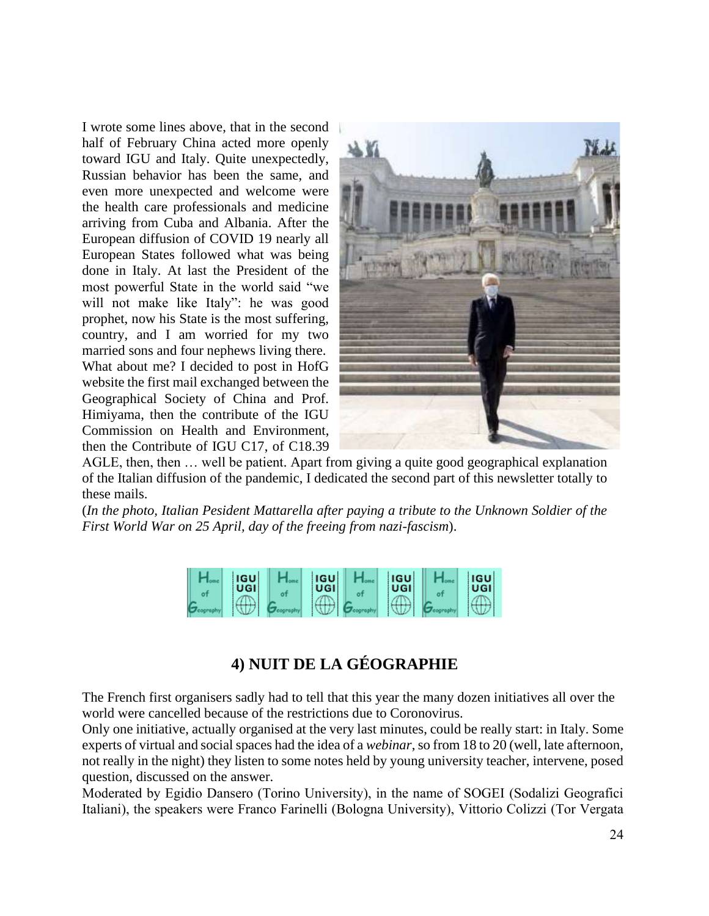I wrote some lines above, that in the second half of February China acted more openly toward IGU and Italy. Quite unexpectedly, Russian behavior has been the same, and even more unexpected and welcome were the health care professionals and medicine arriving from Cuba and Albania. After the European diffusion of COVID 19 nearly all European States followed what was being done in Italy. At last the President of the most powerful State in the world said "we will not make like Italy": he was good prophet, now his State is the most suffering, country, and I am worried for my two married sons and four nephews living there. What about me? I decided to post in HofG website the first mail exchanged between the Geographical Society of China and Prof. Himiyama, then the contribute of the IGU Commission on Health and Environment, then the Contribute of IGU C17, of C18.39



AGLE, then, then … well be patient. Apart from giving a quite good geographical explanation of the Italian diffusion of the pandemic, I dedicated the second part of this newsletter totally to these mails.

(*In the photo, Italian Pesident Mattarella after paying a tribute to the Unknown Soldier of the First World War on 25 April, day of the freeing from nazi-fascism*).

| <b>IGU</b><br>UGI | <b>IGU</b><br>UGI | <b>IGU</b><br><b>UGI</b>                                                                                                                                                                                                             | <b>IGU</b><br>UGI |
|-------------------|-------------------|--------------------------------------------------------------------------------------------------------------------------------------------------------------------------------------------------------------------------------------|-------------------|
| ----              |                   | <b>Property and the property of the last of the last of the last of the last of the last of the last of the last of the last of the last of the last of the last of the last of the last of the last of the last of the last of </b> |                   |

# **4) NUIT DE LA GÉOGRAPHIE**

The French first organisers sadly had to tell that this year the many dozen initiatives all over the world were cancelled because of the restrictions due to Coronovirus.

Only one initiative, actually organised at the very last minutes, could be really start: in Italy. Some experts of virtual and social spaces had the idea of a *webinar*, so from 18 to 20 (well, late afternoon, not really in the night) they listen to some notes held by young university teacher, intervene, posed question, discussed on the answer.

Moderated by Egidio Dansero (Torino University), in the name of SOGEI (Sodalizi Geografici Italiani), the speakers were Franco Farinelli (Bologna University), Vittorio Colizzi (Tor Vergata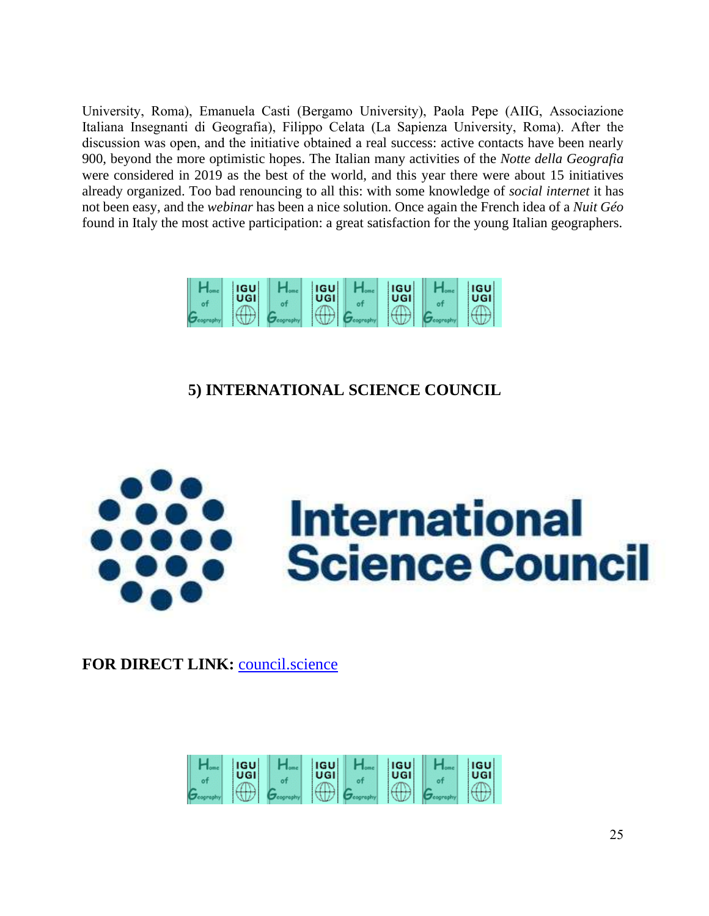University, Roma), Emanuela Casti (Bergamo University), Paola Pepe (AIIG, Associazione Italiana Insegnanti di Geografia), Filippo Celata (La Sapienza University, Roma). After the discussion was open, and the initiative obtained a real success: active contacts have been nearly 900, beyond the more optimistic hopes. The Italian many activities of the *Notte della Geografia* were considered in 2019 as the best of the world, and this year there were about 15 initiatives already organized. Too bad renouncing to all this: with some knowledge of *social internet* it has not been easy, and the *webinar* has been a nice solution. Once again the French idea of a *Nuit Géo* found in Italy the most active participation: a great satisfaction for the young Italian geographers.



# **5) INTERNATIONAL SCIENCE COUNCIL**



**FOR DIRECT LINK:** [council.science](https://council.science/)

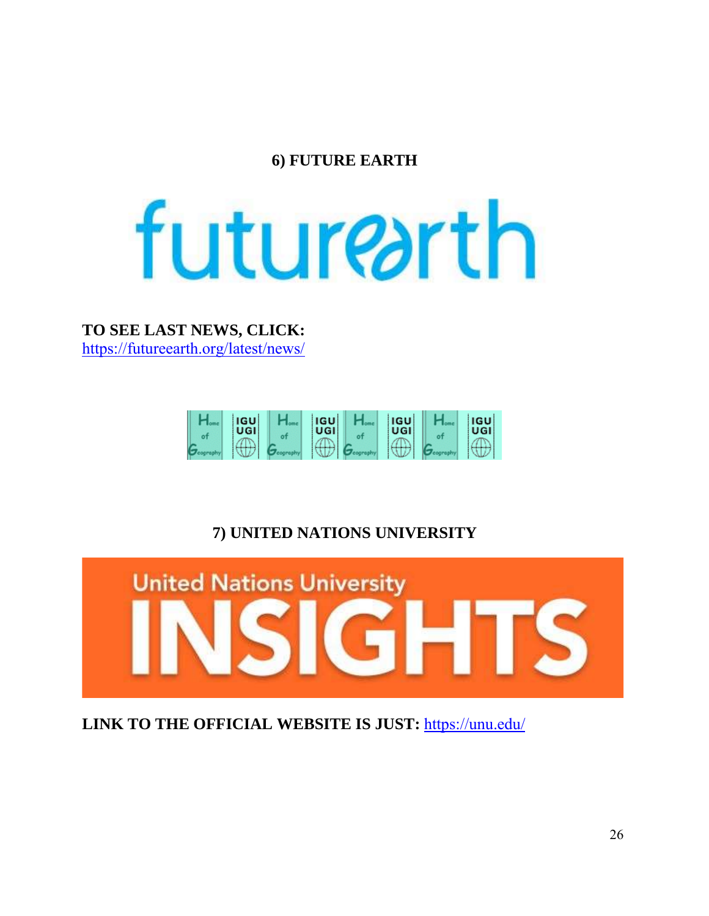# **6) FUTURE EARTH**

# futurearth

**TO SEE LAST NEWS, CLICK:** <https://futureearth.org/latest/news/>



# **7) UNITED NATIONS UNIVERSITY**



**LINK TO THE OFFICIAL WEBSITE IS JUST:** <https://unu.edu/>